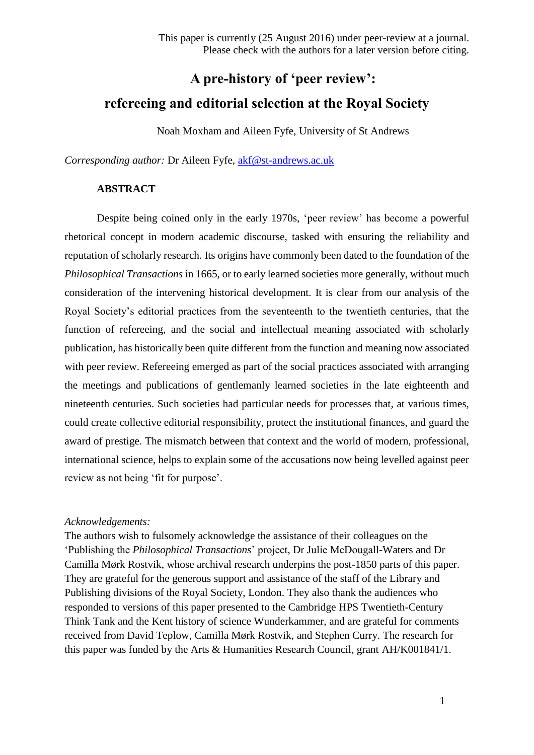# **A pre-history of 'peer review': refereeing and editorial selection at the Royal Society**

Noah Moxham and Aileen Fyfe, University of St Andrews

*Corresponding author:* Dr Aileen Fyfe, [akf@st-andrews.ac.uk](mailto:akf@st-andrews.ac.uk)

## **ABSTRACT**

Despite being coined only in the early 1970s, 'peer review' has become a powerful rhetorical concept in modern academic discourse, tasked with ensuring the reliability and reputation of scholarly research. Its origins have commonly been dated to the foundation of the *Philosophical Transactions* in 1665, or to early learned societies more generally, without much consideration of the intervening historical development. It is clear from our analysis of the Royal Society's editorial practices from the seventeenth to the twentieth centuries, that the function of refereeing, and the social and intellectual meaning associated with scholarly publication, has historically been quite different from the function and meaning now associated with peer review. Refereeing emerged as part of the social practices associated with arranging the meetings and publications of gentlemanly learned societies in the late eighteenth and nineteenth centuries. Such societies had particular needs for processes that, at various times, could create collective editorial responsibility, protect the institutional finances, and guard the award of prestige. The mismatch between that context and the world of modern, professional, international science, helps to explain some of the accusations now being levelled against peer review as not being 'fit for purpose'.

#### *Acknowledgements:*

The authors wish to fulsomely acknowledge the assistance of their colleagues on the 'Publishing the *Philosophical Transactions*' project, Dr Julie McDougall-Waters and Dr Camilla Mørk Rostvik, whose archival research underpins the post-1850 parts of this paper. They are grateful for the generous support and assistance of the staff of the Library and Publishing divisions of the Royal Society, London. They also thank the audiences who responded to versions of this paper presented to the Cambridge HPS Twentieth-Century Think Tank and the Kent history of science Wunderkammer, and are grateful for comments received from David Teplow, Camilla Mørk Rostvik, and Stephen Curry. The research for this paper was funded by the Arts & Humanities Research Council, grant AH/K001841/1.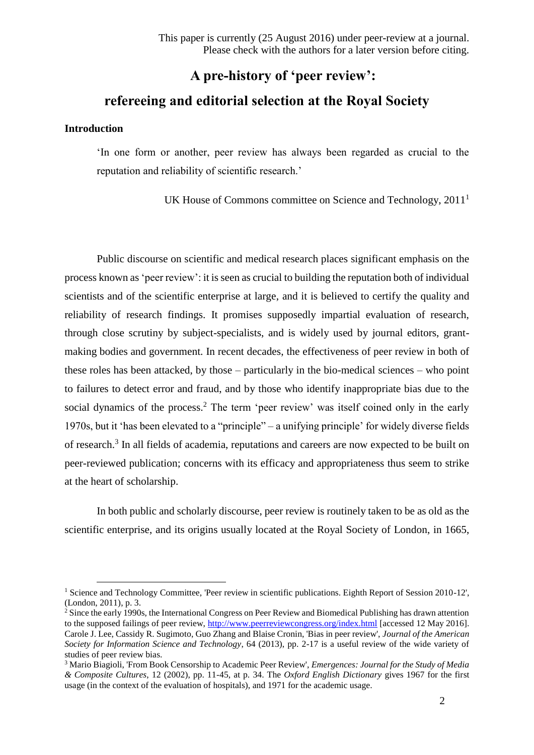## **A pre-history of 'peer review': refereeing and editorial selection at the Royal Society**

#### **Introduction**

1

'In one form or another, peer review has always been regarded as crucial to the reputation and reliability of scientific research.'

UK House of Commons committee on Science and Technology, 2011<sup>1</sup>

Public discourse on scientific and medical research places significant emphasis on the process known as 'peer review': it is seen as crucial to building the reputation both of individual scientists and of the scientific enterprise at large, and it is believed to certify the quality and reliability of research findings. It promises supposedly impartial evaluation of research, through close scrutiny by subject-specialists, and is widely used by journal editors, grantmaking bodies and government. In recent decades, the effectiveness of peer review in both of these roles has been attacked, by those – particularly in the bio-medical sciences – who point to failures to detect error and fraud, and by those who identify inappropriate bias due to the social dynamics of the process.<sup>2</sup> The term 'peer review' was itself coined only in the early 1970s, but it 'has been elevated to a "principle" – a unifying principle' for widely diverse fields of research.<sup>3</sup> In all fields of academia, reputations and careers are now expected to be built on peer-reviewed publication; concerns with its efficacy and appropriateness thus seem to strike at the heart of scholarship.

In both public and scholarly discourse, peer review is routinely taken to be as old as the scientific enterprise, and its origins usually located at the Royal Society of London, in 1665,

<sup>&</sup>lt;sup>1</sup> Science and Technology Committee, 'Peer review in scientific publications. Eighth Report of Session 2010-12', (London, 2011), p. 3.

 $2\sin$  Since the early 1990s, the International Congress on Peer Review and Biomedical Publishing has drawn attention to the supposed failings of peer review,<http://www.peerreviewcongress.org/index.html> [accessed 12 May 2016]. Carole J. Lee, Cassidy R. Sugimoto, Guo Zhang and Blaise Cronin, 'Bias in peer review', *Journal of the American Society for Information Science and Technology*, 64 (2013), pp. 2-17 is a useful review of the wide variety of studies of peer review bias.

<sup>3</sup> Mario Biagioli, 'From Book Censorship to Academic Peer Review', *Emergences: Journal for the Study of Media & Composite Cultures*, 12 (2002), pp. 11-45, at p. 34. The *Oxford English Dictionary* gives 1967 for the first usage (in the context of the evaluation of hospitals), and 1971 for the academic usage.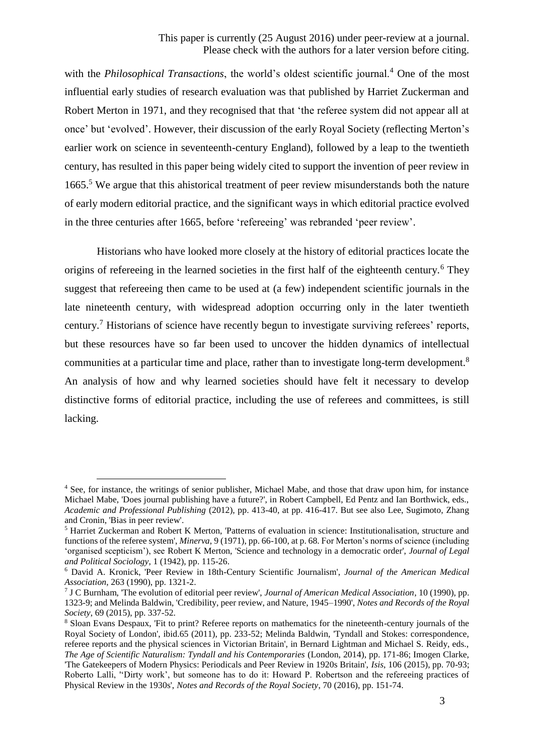with the *Philosophical Transactions*, the world's oldest scientific journal.<sup>4</sup> One of the most influential early studies of research evaluation was that published by Harriet Zuckerman and Robert Merton in 1971, and they recognised that that 'the referee system did not appear all at once' but 'evolved'. However, their discussion of the early Royal Society (reflecting Merton's earlier work on science in seventeenth-century England), followed by a leap to the twentieth century, has resulted in this paper being widely cited to support the invention of peer review in 1665.<sup>5</sup> We argue that this ahistorical treatment of peer review misunderstands both the nature of early modern editorial practice, and the significant ways in which editorial practice evolved in the three centuries after 1665, before 'refereeing' was rebranded 'peer review'.

Historians who have looked more closely at the history of editorial practices locate the origins of refereeing in the learned societies in the first half of the eighteenth century.<sup>6</sup> They suggest that refereeing then came to be used at (a few) independent scientific journals in the late nineteenth century, with widespread adoption occurring only in the later twentieth century.<sup>7</sup> Historians of science have recently begun to investigate surviving referees' reports, but these resources have so far been used to uncover the hidden dynamics of intellectual communities at a particular time and place, rather than to investigate long-term development.<sup>8</sup> An analysis of how and why learned societies should have felt it necessary to develop distinctive forms of editorial practice, including the use of referees and committees, is still lacking.

<sup>4</sup> See, for instance, the writings of senior publisher, Michael Mabe, and those that draw upon him, for instance Michael Mabe, 'Does journal publishing have a future?', in Robert Campbell, Ed Pentz and Ian Borthwick, eds., *Academic and Professional Publishing* (2012), pp. 413-40, at pp. 416-417. But see also Lee, Sugimoto, Zhang and Cronin, 'Bias in peer review'.

<sup>5</sup> Harriet Zuckerman and Robert K Merton, 'Patterns of evaluation in science: Institutionalisation, structure and functions of the referee system', *Minerva*, 9 (1971), pp. 66-100, at p. 68. For Merton's norms of science (including 'organised scepticism'), see Robert K Merton, 'Science and technology in a democratic order', *Journal of Legal and Political Sociology*, 1 (1942), pp. 115-26.

<sup>6</sup> David A. Kronick, 'Peer Review in 18th-Century Scientific Journalism', *Journal of the American Medical Association*, 263 (1990), pp. 1321-2.

<sup>7</sup> J C Burnham, 'The evolution of editorial peer review', *Journal of American Medical Association*, 10 (1990), pp. 1323-9; and Melinda Baldwin, 'Credibility, peer review, and Nature, 1945–1990', *Notes and Records of the Royal Society*, 69 (2015), pp. 337-52.

<sup>&</sup>lt;sup>8</sup> Sloan Evans Despaux, 'Fit to print? Referee reports on mathematics for the nineteenth-century journals of the Royal Society of London', ibid.65 (2011), pp. 233-52; Melinda Baldwin, 'Tyndall and Stokes: correspondence, referee reports and the physical sciences in Victorian Britain', in Bernard Lightman and Michael S. Reidy, eds., *The Age of Scientific Naturalism: Tyndall and his Contemporaries* (London, 2014), pp. 171-86; Imogen Clarke, 'The Gatekeepers of Modern Physics: Periodicals and Peer Review in 1920s Britain', *Isis*, 106 (2015), pp. 70-93; Roberto Lalli, ''Dirty work', but someone has to do it: Howard P. Robertson and the refereeing practices of Physical Review in the 1930s', *Notes and Records of the Royal Society*, 70 (2016), pp. 151-74.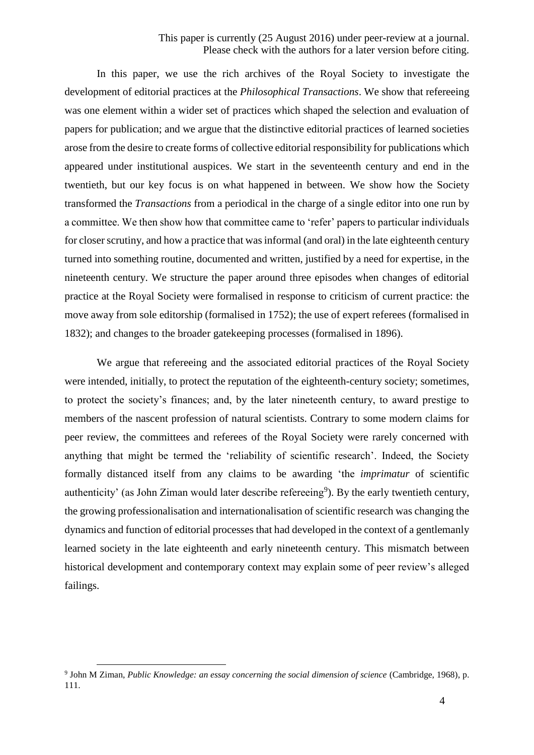## This paper is currently (25 August 2016) under peer-review at a journal. Please check with the authors for a later version before citing.

In this paper, we use the rich archives of the Royal Society to investigate the development of editorial practices at the *Philosophical Transactions*. We show that refereeing was one element within a wider set of practices which shaped the selection and evaluation of papers for publication; and we argue that the distinctive editorial practices of learned societies arose from the desire to create forms of collective editorial responsibility for publications which appeared under institutional auspices. We start in the seventeenth century and end in the twentieth, but our key focus is on what happened in between. We show how the Society transformed the *Transactions* from a periodical in the charge of a single editor into one run by a committee. We then show how that committee came to 'refer' papers to particular individuals for closer scrutiny, and how a practice that was informal (and oral) in the late eighteenth century turned into something routine, documented and written, justified by a need for expertise, in the nineteenth century. We structure the paper around three episodes when changes of editorial practice at the Royal Society were formalised in response to criticism of current practice: the move away from sole editorship (formalised in 1752); the use of expert referees (formalised in 1832); and changes to the broader gatekeeping processes (formalised in 1896).

We argue that refereeing and the associated editorial practices of the Royal Society were intended, initially, to protect the reputation of the eighteenth-century society; sometimes, to protect the society's finances; and, by the later nineteenth century, to award prestige to members of the nascent profession of natural scientists. Contrary to some modern claims for peer review, the committees and referees of the Royal Society were rarely concerned with anything that might be termed the 'reliability of scientific research'. Indeed, the Society formally distanced itself from any claims to be awarding 'the *imprimatur* of scientific authenticity' (as John Ziman would later describe refereeing<sup>9</sup>). By the early twentieth century, the growing professionalisation and internationalisation of scientific research was changing the dynamics and function of editorial processes that had developed in the context of a gentlemanly learned society in the late eighteenth and early nineteenth century. This mismatch between historical development and contemporary context may explain some of peer review's alleged failings.

<sup>9</sup> John M Ziman, *Public Knowledge: an essay concerning the social dimension of science* (Cambridge, 1968), p. 111.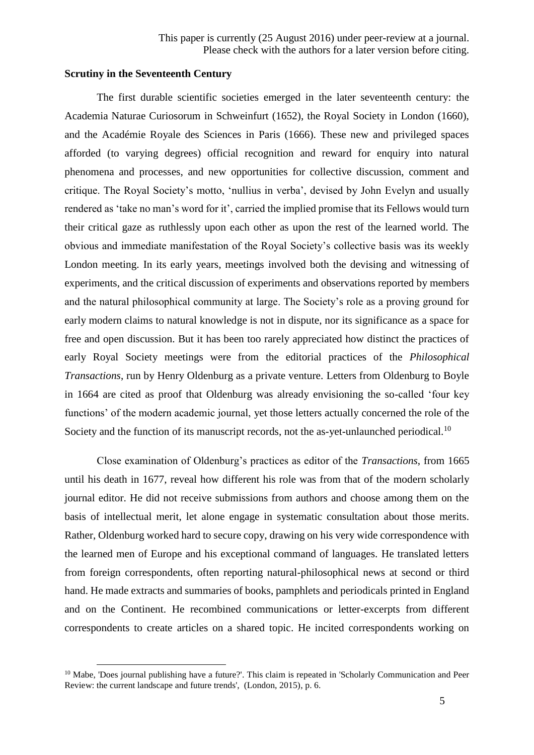## **Scrutiny in the Seventeenth Century**

1

The first durable scientific societies emerged in the later seventeenth century: the Academia Naturae Curiosorum in Schweinfurt (1652), the Royal Society in London (1660), and the Académie Royale des Sciences in Paris (1666). These new and privileged spaces afforded (to varying degrees) official recognition and reward for enquiry into natural phenomena and processes, and new opportunities for collective discussion, comment and critique. The Royal Society's motto, 'nullius in verba', devised by John Evelyn and usually rendered as 'take no man's word for it', carried the implied promise that its Fellows would turn their critical gaze as ruthlessly upon each other as upon the rest of the learned world. The obvious and immediate manifestation of the Royal Society's collective basis was its weekly London meeting. In its early years, meetings involved both the devising and witnessing of experiments, and the critical discussion of experiments and observations reported by members and the natural philosophical community at large. The Society's role as a proving ground for early modern claims to natural knowledge is not in dispute, nor its significance as a space for free and open discussion. But it has been too rarely appreciated how distinct the practices of early Royal Society meetings were from the editorial practices of the *Philosophical Transactions*, run by Henry Oldenburg as a private venture. Letters from Oldenburg to Boyle in 1664 are cited as proof that Oldenburg was already envisioning the so-called 'four key functions' of the modern academic journal, yet those letters actually concerned the role of the Society and the function of its manuscript records, not the as-yet-unlaunched periodical.<sup>10</sup>

Close examination of Oldenburg's practices as editor of the *Transactions*, from 1665 until his death in 1677, reveal how different his role was from that of the modern scholarly journal editor. He did not receive submissions from authors and choose among them on the basis of intellectual merit, let alone engage in systematic consultation about those merits. Rather, Oldenburg worked hard to secure copy, drawing on his very wide correspondence with the learned men of Europe and his exceptional command of languages. He translated letters from foreign correspondents, often reporting natural-philosophical news at second or third hand. He made extracts and summaries of books, pamphlets and periodicals printed in England and on the Continent. He recombined communications or letter-excerpts from different correspondents to create articles on a shared topic. He incited correspondents working on

<sup>&</sup>lt;sup>10</sup> Mabe. 'Does journal publishing have a future?'. This claim is repeated in 'Scholarly Communication and Peer Review: the current landscape and future trends', (London, 2015), p. 6.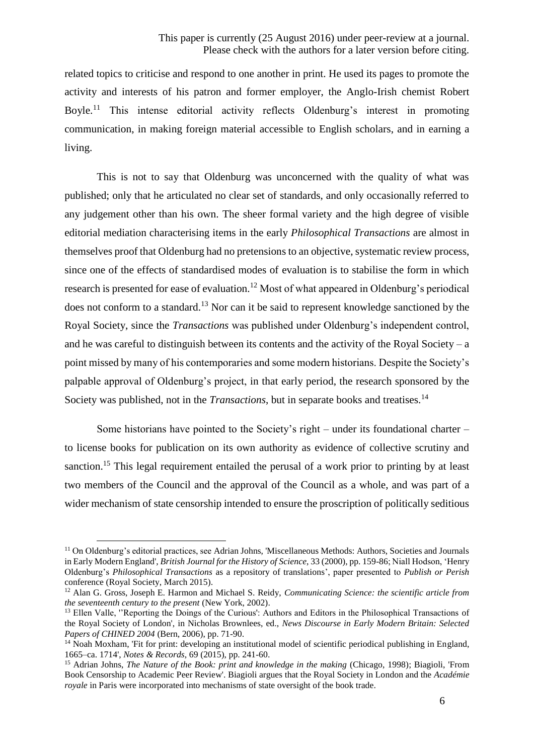related topics to criticise and respond to one another in print. He used its pages to promote the activity and interests of his patron and former employer, the Anglo-Irish chemist Robert Boyle.<sup>11</sup> This intense editorial activity reflects Oldenburg's interest in promoting communication, in making foreign material accessible to English scholars, and in earning a living.

This is not to say that Oldenburg was unconcerned with the quality of what was published; only that he articulated no clear set of standards, and only occasionally referred to any judgement other than his own. The sheer formal variety and the high degree of visible editorial mediation characterising items in the early *Philosophical Transactions* are almost in themselves proof that Oldenburg had no pretensions to an objective, systematic review process, since one of the effects of standardised modes of evaluation is to stabilise the form in which research is presented for ease of evaluation.<sup>12</sup> Most of what appeared in Oldenburg's periodical does not conform to a standard.<sup>13</sup> Nor can it be said to represent knowledge sanctioned by the Royal Society, since the *Transactions* was published under Oldenburg's independent control, and he was careful to distinguish between its contents and the activity of the Royal Society – a point missed by many of his contemporaries and some modern historians. Despite the Society's palpable approval of Oldenburg's project, in that early period, the research sponsored by the Society was published, not in the *Transactions*, but in separate books and treatises.<sup>14</sup>

Some historians have pointed to the Society's right – under its foundational charter – to license books for publication on its own authority as evidence of collective scrutiny and sanction.<sup>15</sup> This legal requirement entailed the perusal of a work prior to printing by at least two members of the Council and the approval of the Council as a whole, and was part of a wider mechanism of state censorship intended to ensure the proscription of politically seditious

<sup>11</sup> On Oldenburg's editorial practices, see Adrian Johns, 'Miscellaneous Methods: Authors, Societies and Journals in Early Modern England', *British Journal for the History of Science*, 33 (2000), pp. 159-86; Niall Hodson, 'Henry Oldenburg's *Philosophical Transactions* as a repository of translations', paper presented to *Publish or Perish* conference (Royal Society, March 2015).

<sup>12</sup> Alan G. Gross, Joseph E. Harmon and Michael S. Reidy, *Communicating Science: the scientific article from the seventeenth century to the present* (New York, 2002).

<sup>&</sup>lt;sup>13</sup> Ellen Valle, ''Reporting the Doings of the Curious': Authors and Editors in the Philosophical Transactions of the Royal Society of London', in Nicholas Brownlees, ed., *News Discourse in Early Modern Britain: Selected Papers of CHINED 2004* (Bern, 2006), pp. 71-90.

 $14$  Noah Moxham. 'Fit for print: developing an institutional model of scientific periodical publishing in England, 1665–ca. 1714', *Notes & Records*, 69 (2015), pp. 241-60.

<sup>15</sup> Adrian Johns, *The Nature of the Book: print and knowledge in the making* (Chicago, 1998); Biagioli, 'From Book Censorship to Academic Peer Review'. Biagioli argues that the Royal Society in London and the *Académie royale* in Paris were incorporated into mechanisms of state oversight of the book trade.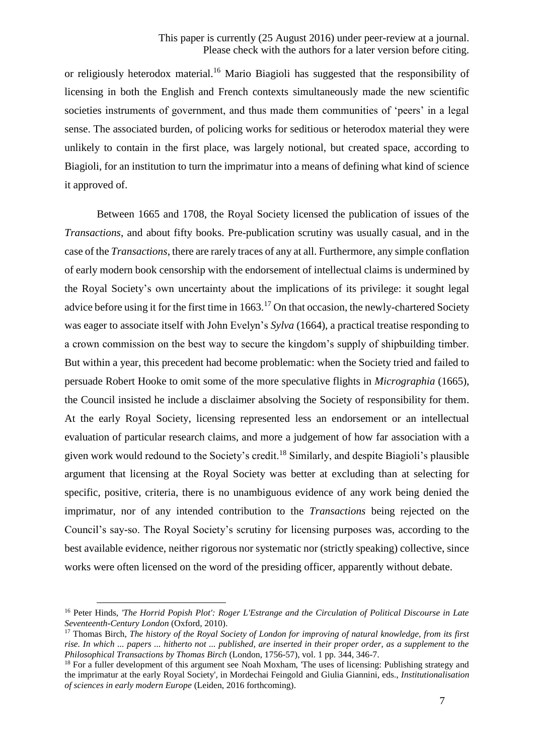or religiously heterodox material.<sup>16</sup> Mario Biagioli has suggested that the responsibility of licensing in both the English and French contexts simultaneously made the new scientific societies instruments of government, and thus made them communities of 'peers' in a legal sense. The associated burden, of policing works for seditious or heterodox material they were unlikely to contain in the first place, was largely notional, but created space, according to Biagioli, for an institution to turn the imprimatur into a means of defining what kind of science it approved of.

Between 1665 and 1708, the Royal Society licensed the publication of issues of the *Transactions*, and about fifty books. Pre-publication scrutiny was usually casual, and in the case of the *Transactions*, there are rarely traces of any at all. Furthermore, any simple conflation of early modern book censorship with the endorsement of intellectual claims is undermined by the Royal Society's own uncertainty about the implications of its privilege: it sought legal advice before using it for the first time in  $1663$ .<sup>17</sup> On that occasion, the newly-chartered Society was eager to associate itself with John Evelyn's *Sylva* (1664), a practical treatise responding to a crown commission on the best way to secure the kingdom's supply of shipbuilding timber. But within a year, this precedent had become problematic: when the Society tried and failed to persuade Robert Hooke to omit some of the more speculative flights in *Micrographia* (1665), the Council insisted he include a disclaimer absolving the Society of responsibility for them. At the early Royal Society, licensing represented less an endorsement or an intellectual evaluation of particular research claims, and more a judgement of how far association with a given work would redound to the Society's credit.<sup>18</sup> Similarly, and despite Biagioli's plausible argument that licensing at the Royal Society was better at excluding than at selecting for specific, positive, criteria, there is no unambiguous evidence of any work being denied the imprimatur, nor of any intended contribution to the *Transactions* being rejected on the Council's say-so. The Royal Society's scrutiny for licensing purposes was, according to the best available evidence, neither rigorous nor systematic nor (strictly speaking) collective, since works were often licensed on the word of the presiding officer, apparently without debate.

<sup>16</sup> Peter Hinds, *'The Horrid Popish Plot': Roger L'Estrange and the Circulation of Political Discourse in Late Seventeenth-Century London* (Oxford, 2010).

<sup>17</sup> Thomas Birch, *The history of the Royal Society of London for improving of natural knowledge, from its first rise. In which ... papers ... hitherto not ... published, are inserted in their proper order, as a supplement to the Philosophical Transactions by Thomas Birch* (London, 1756-57), vol. 1 pp. 344, 346-7.

<sup>&</sup>lt;sup>18</sup> For a fuller development of this argument see Noah Moxham, 'The uses of licensing: Publishing strategy and the imprimatur at the early Royal Society', in Mordechai Feingold and Giulia Giannini, eds., *Institutionalisation of sciences in early modern Europe* (Leiden, 2016 forthcoming).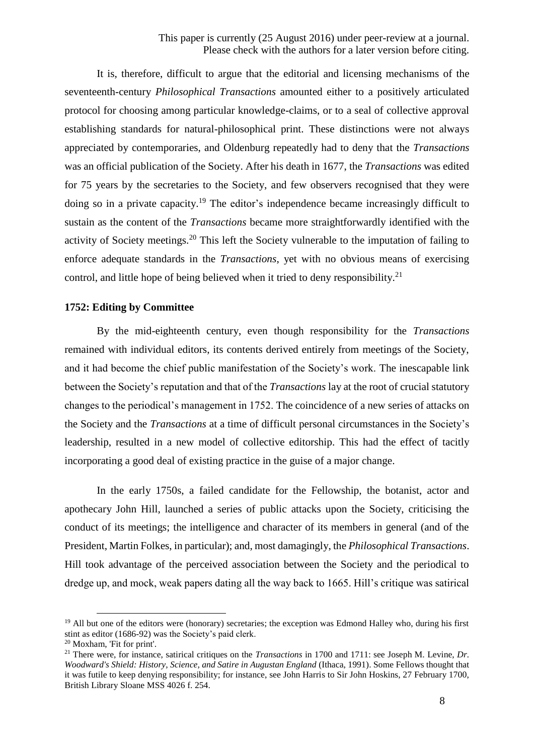It is, therefore, difficult to argue that the editorial and licensing mechanisms of the seventeenth-century *Philosophical Transactions* amounted either to a positively articulated protocol for choosing among particular knowledge-claims, or to a seal of collective approval establishing standards for natural-philosophical print. These distinctions were not always appreciated by contemporaries, and Oldenburg repeatedly had to deny that the *Transactions* was an official publication of the Society. After his death in 1677, the *Transactions* was edited for 75 years by the secretaries to the Society, and few observers recognised that they were doing so in a private capacity.<sup>19</sup> The editor's independence became increasingly difficult to sustain as the content of the *Transactions* became more straightforwardly identified with the activity of Society meetings.<sup>20</sup> This left the Society vulnerable to the imputation of failing to enforce adequate standards in the *Transactions*, yet with no obvious means of exercising control, and little hope of being believed when it tried to deny responsibility.<sup>21</sup>

#### **1752: Editing by Committee**

By the mid-eighteenth century, even though responsibility for the *Transactions* remained with individual editors, its contents derived entirely from meetings of the Society, and it had become the chief public manifestation of the Society's work. The inescapable link between the Society's reputation and that of the *Transactions* lay at the root of crucial statutory changes to the periodical's management in 1752. The coincidence of a new series of attacks on the Society and the *Transactions* at a time of difficult personal circumstances in the Society's leadership, resulted in a new model of collective editorship. This had the effect of tacitly incorporating a good deal of existing practice in the guise of a major change.

In the early 1750s, a failed candidate for the Fellowship, the botanist, actor and apothecary John Hill, launched a series of public attacks upon the Society, criticising the conduct of its meetings; the intelligence and character of its members in general (and of the President, Martin Folkes, in particular); and, most damagingly, the *Philosophical Transactions*. Hill took advantage of the perceived association between the Society and the periodical to dredge up, and mock, weak papers dating all the way back to 1665. Hill's critique was satirical

<sup>&</sup>lt;sup>19</sup> All but one of the editors were (honorary) secretaries; the exception was Edmond Halley who, during his first stint as editor (1686-92) was the Society's paid clerk.

<sup>20</sup> Moxham, 'Fit for print'.

<sup>&</sup>lt;sup>21</sup> There were, for instance, satirical critiques on the *Transactions* in 1700 and 1711: see Joseph M. Levine, *Dr. Woodward's Shield: History, Science, and Satire in Augustan England (Ithaca, 1991). Some Fellows thought that* it was futile to keep denying responsibility; for instance, see John Harris to Sir John Hoskins, 27 February 1700, British Library Sloane MSS 4026 f. 254.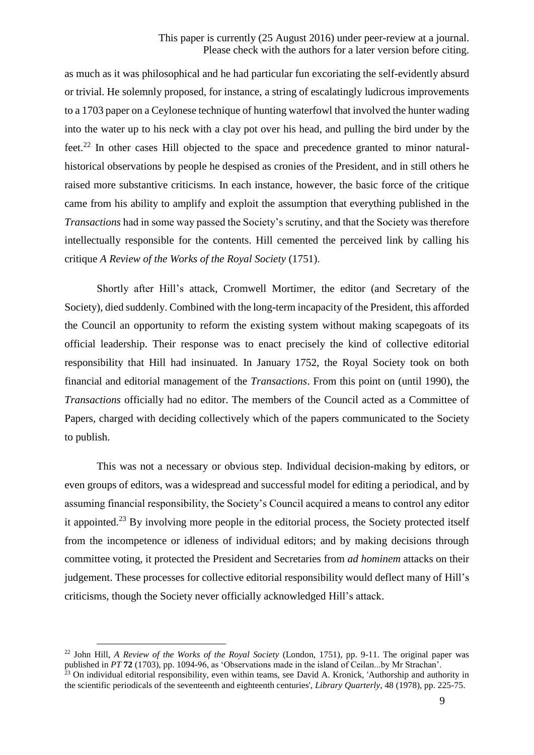as much as it was philosophical and he had particular fun excoriating the self-evidently absurd or trivial. He solemnly proposed, for instance, a string of escalatingly ludicrous improvements to a 1703 paper on a Ceylonese technique of hunting waterfowl that involved the hunter wading into the water up to his neck with a clay pot over his head, and pulling the bird under by the feet.<sup>22</sup> In other cases Hill objected to the space and precedence granted to minor naturalhistorical observations by people he despised as cronies of the President, and in still others he raised more substantive criticisms. In each instance, however, the basic force of the critique came from his ability to amplify and exploit the assumption that everything published in the *Transactions* had in some way passed the Society's scrutiny, and that the Society was therefore intellectually responsible for the contents. Hill cemented the perceived link by calling his critique *A Review of the Works of the Royal Society* (1751).

Shortly after Hill's attack, Cromwell Mortimer, the editor (and Secretary of the Society), died suddenly. Combined with the long-term incapacity of the President, this afforded the Council an opportunity to reform the existing system without making scapegoats of its official leadership. Their response was to enact precisely the kind of collective editorial responsibility that Hill had insinuated. In January 1752, the Royal Society took on both financial and editorial management of the *Transactions*. From this point on (until 1990), the *Transactions* officially had no editor. The members of the Council acted as a Committee of Papers, charged with deciding collectively which of the papers communicated to the Society to publish.

This was not a necessary or obvious step. Individual decision-making by editors, or even groups of editors, was a widespread and successful model for editing a periodical, and by assuming financial responsibility, the Society's Council acquired a means to control any editor it appointed.<sup>23</sup> By involving more people in the editorial process, the Society protected itself from the incompetence or idleness of individual editors; and by making decisions through committee voting, it protected the President and Secretaries from *ad hominem* attacks on their judgement. These processes for collective editorial responsibility would deflect many of Hill's criticisms, though the Society never officially acknowledged Hill's attack.

<sup>&</sup>lt;sup>22</sup> John Hill, *A Review of the Works of the Royal Society (London, 1751)*, pp. 9-11. The original paper was published in *PT* **72** (1703), pp. 1094-96, as 'Observations made in the island of Ceilan...by Mr Strachan'.

 $^{23}$  On individual editorial responsibility, even within teams, see David A. Kronick, 'Authorship and authority in the scientific periodicals of the seventeenth and eighteenth centuries', *Library Quarterly*, 48 (1978), pp. 225-75.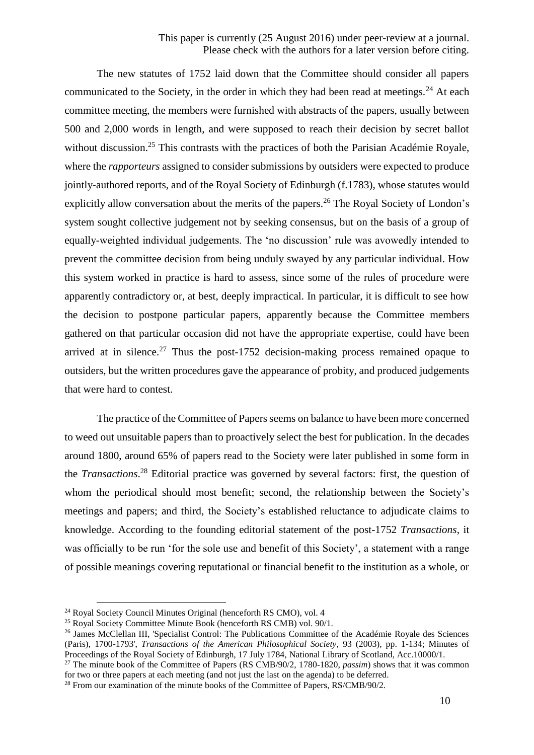The new statutes of 1752 laid down that the Committee should consider all papers communicated to the Society, in the order in which they had been read at meetings.<sup>24</sup> At each committee meeting, the members were furnished with abstracts of the papers, usually between 500 and 2,000 words in length, and were supposed to reach their decision by secret ballot without discussion.<sup>25</sup> This contrasts with the practices of both the Parisian Académie Royale, where the *rapporteurs* assigned to consider submissions by outsiders were expected to produce jointly-authored reports, and of the Royal Society of Edinburgh (f.1783), whose statutes would explicitly allow conversation about the merits of the papers.<sup>26</sup> The Royal Society of London's system sought collective judgement not by seeking consensus, but on the basis of a group of equally-weighted individual judgements. The 'no discussion' rule was avowedly intended to prevent the committee decision from being unduly swayed by any particular individual. How this system worked in practice is hard to assess, since some of the rules of procedure were apparently contradictory or, at best, deeply impractical. In particular, it is difficult to see how the decision to postpone particular papers, apparently because the Committee members gathered on that particular occasion did not have the appropriate expertise, could have been arrived at in silence.<sup>27</sup> Thus the post-1752 decision-making process remained opaque to outsiders, but the written procedures gave the appearance of probity, and produced judgements that were hard to contest.

The practice of the Committee of Papers seems on balance to have been more concerned to weed out unsuitable papers than to proactively select the best for publication. In the decades around 1800, around 65% of papers read to the Society were later published in some form in the *Transactions*. <sup>28</sup> Editorial practice was governed by several factors: first, the question of whom the periodical should most benefit; second, the relationship between the Society's meetings and papers; and third, the Society's established reluctance to adjudicate claims to knowledge. According to the founding editorial statement of the post-1752 *Transactions*, it was officially to be run 'for the sole use and benefit of this Society', a statement with a range of possible meanings covering reputational or financial benefit to the institution as a whole, or

1

<sup>28</sup> From our examination of the minute books of the Committee of Papers, RS/CMB/90/2.

<sup>&</sup>lt;sup>24</sup> Royal Society Council Minutes Original (henceforth RS CMO), vol. 4

<sup>&</sup>lt;sup>25</sup> Royal Society Committee Minute Book (henceforth RS CMB) vol. 90/1.

<sup>&</sup>lt;sup>26</sup> James McClellan III, 'Specialist Control: The Publications Committee of the Académie Royale des Sciences (Paris), 1700-1793', *Transactions of the American Philosophical Society*, 93 (2003), pp. 1-134; Minutes of Proceedings of the Royal Society of Edinburgh, 17 July 1784, National Library of Scotland, Acc.10000/1.

<sup>27</sup> The minute book of the Committee of Papers (RS CMB/90/2, 1780-1820, *passim*) shows that it was common for two or three papers at each meeting (and not just the last on the agenda) to be deferred.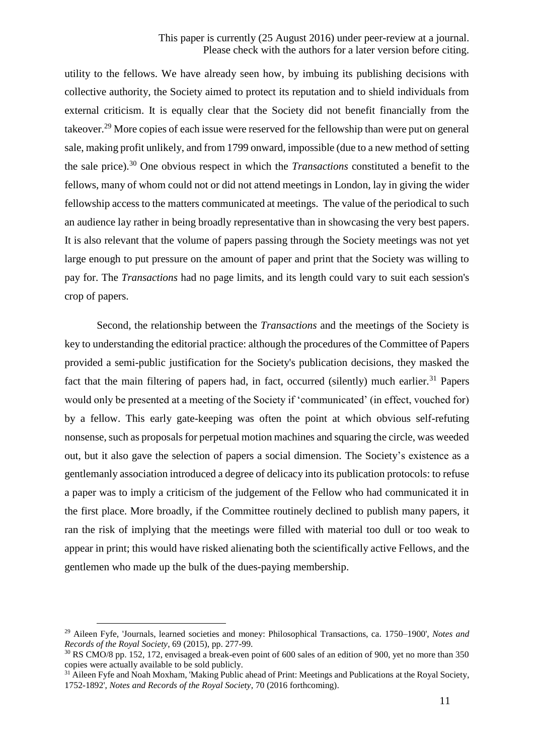utility to the fellows. We have already seen how, by imbuing its publishing decisions with collective authority, the Society aimed to protect its reputation and to shield individuals from external criticism. It is equally clear that the Society did not benefit financially from the takeover.<sup>29</sup> More copies of each issue were reserved for the fellowship than were put on general sale, making profit unlikely, and from 1799 onward, impossible (due to a new method of setting the sale price). <sup>30</sup> One obvious respect in which the *Transactions* constituted a benefit to the fellows, many of whom could not or did not attend meetings in London, lay in giving the wider fellowship access to the matters communicated at meetings. The value of the periodical to such an audience lay rather in being broadly representative than in showcasing the very best papers. It is also relevant that the volume of papers passing through the Society meetings was not yet large enough to put pressure on the amount of paper and print that the Society was willing to pay for. The *Transactions* had no page limits, and its length could vary to suit each session's crop of papers.

Second, the relationship between the *Transactions* and the meetings of the Society is key to understanding the editorial practice: although the procedures of the Committee of Papers provided a semi-public justification for the Society's publication decisions, they masked the fact that the main filtering of papers had, in fact, occurred (silently) much earlier.<sup>31</sup> Papers would only be presented at a meeting of the Society if 'communicated' (in effect, vouched for) by a fellow. This early gate-keeping was often the point at which obvious self-refuting nonsense, such as proposals for perpetual motion machines and squaring the circle, was weeded out, but it also gave the selection of papers a social dimension. The Society's existence as a gentlemanly association introduced a degree of delicacy into its publication protocols: to refuse a paper was to imply a criticism of the judgement of the Fellow who had communicated it in the first place. More broadly, if the Committee routinely declined to publish many papers, it ran the risk of implying that the meetings were filled with material too dull or too weak to appear in print; this would have risked alienating both the scientifically active Fellows, and the gentlemen who made up the bulk of the dues-paying membership.

<sup>29</sup> Aileen Fyfe, 'Journals, learned societies and money: Philosophical Transactions, ca. 1750–1900', *Notes and Records of the Royal Society*, 69 (2015), pp. 277-99.

<sup>30</sup> RS CMO/8 pp. 152, 172, envisaged a break-even point of 600 sales of an edition of 900, yet no more than 350 copies were actually available to be sold publicly.

<sup>&</sup>lt;sup>31</sup> Aileen Fyfe and Noah Moxham, 'Making Public ahead of Print: Meetings and Publications at the Royal Society, 1752-1892', *Notes and Records of the Royal Society*, 70 (2016 forthcoming).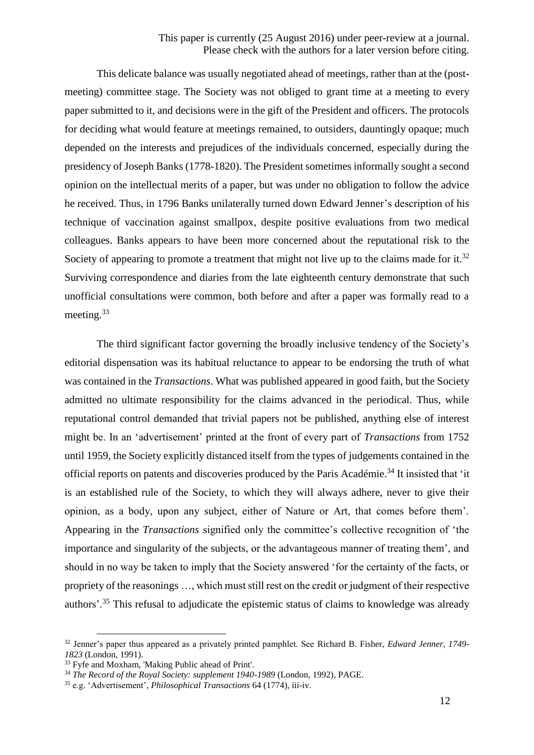## This paper is currently (25 August 2016) under peer-review at a journal. Please check with the authors for a later version before citing.

This delicate balance was usually negotiated ahead of meetings, rather than at the (postmeeting) committee stage. The Society was not obliged to grant time at a meeting to every paper submitted to it, and decisions were in the gift of the President and officers. The protocols for deciding what would feature at meetings remained, to outsiders, dauntingly opaque; much depended on the interests and prejudices of the individuals concerned, especially during the presidency of Joseph Banks (1778-1820). The President sometimes informally sought a second opinion on the intellectual merits of a paper, but was under no obligation to follow the advice he received. Thus, in 1796 Banks unilaterally turned down Edward Jenner's description of his technique of vaccination against smallpox, despite positive evaluations from two medical colleagues. Banks appears to have been more concerned about the reputational risk to the Society of appearing to promote a treatment that might not live up to the claims made for it.<sup>32</sup> Surviving correspondence and diaries from the late eighteenth century demonstrate that such unofficial consultations were common, both before and after a paper was formally read to a meeting.<sup>33</sup>

The third significant factor governing the broadly inclusive tendency of the Society's editorial dispensation was its habitual reluctance to appear to be endorsing the truth of what was contained in the *Transactions*. What was published appeared in good faith, but the Society admitted no ultimate responsibility for the claims advanced in the periodical. Thus, while reputational control demanded that trivial papers not be published, anything else of interest might be. In an 'advertisement' printed at the front of every part of *Transactions* from 1752 until 1959, the Society explicitly distanced itself from the types of judgements contained in the official reports on patents and discoveries produced by the Paris Académie.<sup>34</sup> It insisted that 'it is an established rule of the Society, to which they will always adhere, never to give their opinion, as a body, upon any subject, either of Nature or Art, that comes before them'. Appearing in the *Transactions* signified only the committee's collective recognition of 'the importance and singularity of the subjects, or the advantageous manner of treating them', and should in no way be taken to imply that the Society answered 'for the certainty of the facts, or propriety of the reasonings …, which must still rest on the credit or judgment of their respective authors'.<sup>35</sup> This refusal to adjudicate the epistemic status of claims to knowledge was already

<sup>32</sup> Jenner's paper thus appeared as a privately printed pamphlet. See Richard B. Fisher, *Edward Jenner, 1749- 1823* (London, 1991).

<sup>&</sup>lt;sup>33</sup> Fyfe and Moxham, 'Making Public ahead of Print'.

<sup>&</sup>lt;sup>34</sup> The Record of the Royal Society: supplement 1940-1989 (London, 1992), PAGE.

<sup>35</sup> e.g. 'Advertisement', *Philosophical Transactions* 64 (1774), iii-iv.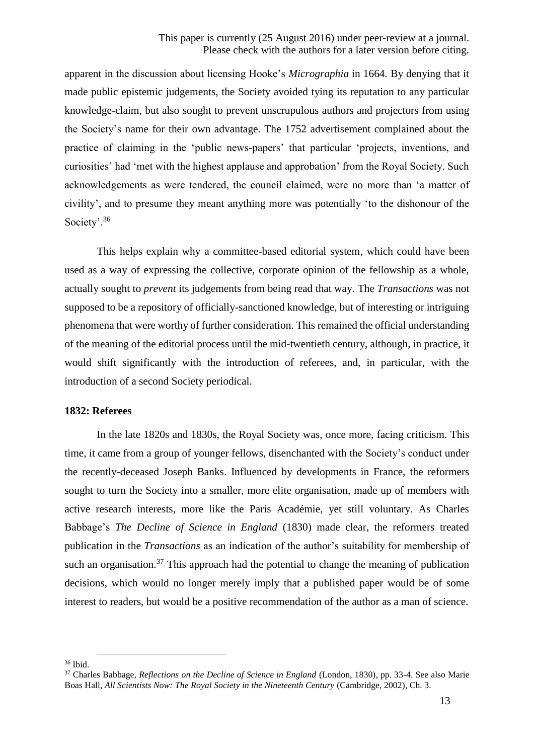apparent in the discussion about licensing Hooke's *Micrographia* in 1664. By denying that it made public epistemic judgements, the Society avoided tying its reputation to any particular knowledge-claim, but also sought to prevent unscrupulous authors and projectors from using the Society's name for their own advantage. The 1752 advertisement complained about the practice of claiming in the 'public news-papers' that particular 'projects, inventions, and curiosities' had 'met with the highest applause and approbation' from the Royal Society. Such acknowledgements as were tendered, the council claimed, were no more than 'a matter of civility', and to presume they meant anything more was potentially 'to the dishonour of the Society'.<sup>36</sup>

This helps explain why a committee-based editorial system, which could have been used as a way of expressing the collective, corporate opinion of the fellowship as a whole, actually sought to *prevent* its judgements from being read that way. The *Transactions* was not supposed to be a repository of officially-sanctioned knowledge, but of interesting or intriguing phenomena that were worthy of further consideration. This remained the official understanding of the meaning of the editorial process until the mid-twentieth century, although, in practice, it would shift significantly with the introduction of referees, and, in particular, with the introduction of a second Society periodical.

#### **1832: Referees**

In the late 1820s and 1830s, the Royal Society was, once more, facing criticism. This time, it came from a group of younger fellows, disenchanted with the Society's conduct under the recently-deceased Joseph Banks. Influenced by developments in France, the reformers sought to turn the Society into a smaller, more elite organisation, made up of members with active research interests, more like the Paris Académie, yet still voluntary. As Charles Babbage's *The Decline of Science in England* (1830) made clear, the reformers treated publication in the *Transactions* as an indication of the author's suitability for membership of such an organisation.<sup>37</sup> This approach had the potential to change the meaning of publication decisions, which would no longer merely imply that a published paper would be of some interest to readers, but would be a positive recommendation of the author as a man of science.

<sup>36</sup> Ibid.

<sup>37</sup> Charles Babbage, *Reflections on the Decline of Science in England* (London, 1830), pp. 33-4. See also Marie Boas Hall, *All Scientists Now: The Royal Society in the Nineteenth Century* (Cambridge, 2002), Ch. 3.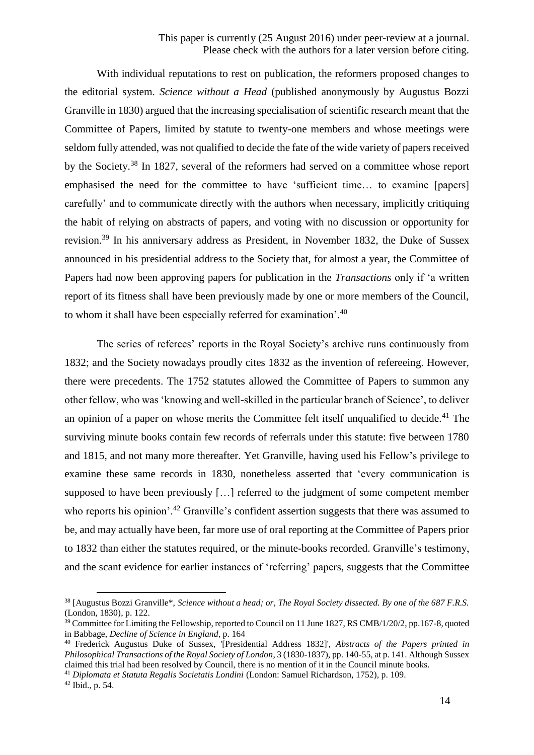With individual reputations to rest on publication, the reformers proposed changes to the editorial system. *Science without a Head* (published anonymously by Augustus Bozzi Granville in 1830) argued that the increasing specialisation of scientific research meant that the Committee of Papers, limited by statute to twenty-one members and whose meetings were seldom fully attended, was not qualified to decide the fate of the wide variety of papers received by the Society.<sup>38</sup> In 1827, several of the reformers had served on a committee whose report emphasised the need for the committee to have 'sufficient time… to examine [papers] carefully' and to communicate directly with the authors when necessary, implicitly critiquing the habit of relying on abstracts of papers, and voting with no discussion or opportunity for revision.<sup>39</sup> In his anniversary address as President, in November 1832, the Duke of Sussex announced in his presidential address to the Society that, for almost a year, the Committee of Papers had now been approving papers for publication in the *Transactions* only if 'a written report of its fitness shall have been previously made by one or more members of the Council, to whom it shall have been especially referred for examination'.<sup>40</sup>

The series of referees' reports in the Royal Society's archive runs continuously from 1832; and the Society nowadays proudly cites 1832 as the invention of refereeing. However, there were precedents. The 1752 statutes allowed the Committee of Papers to summon any other fellow, who was 'knowing and well-skilled in the particular branch of Science', to deliver an opinion of a paper on whose merits the Committee felt itself unqualified to decide.<sup>41</sup> The surviving minute books contain few records of referrals under this statute: five between 1780 and 1815, and not many more thereafter. Yet Granville, having used his Fellow's privilege to examine these same records in 1830, nonetheless asserted that 'every communication is supposed to have been previously […] referred to the judgment of some competent member who reports his opinion'.<sup>42</sup> Granville's confident assertion suggests that there was assumed to be, and may actually have been, far more use of oral reporting at the Committee of Papers prior to 1832 than either the statutes required, or the minute-books recorded. Granville's testimony, and the scant evidence for earlier instances of 'referring' papers, suggests that the Committee

 $42$  Ibid., p. 54.

<sup>38</sup> [Augustus Bozzi Granville\*, *Science without a head; or, The Royal Society dissected. By one of the 687 F.R.S.*  (London, 1830), p. 122.

 $39$  Committee for Limiting the Fellowship, reported to Council on 11 June 1827, RS CMB/1/20/2, pp.167-8, quoted in Babbage, *Decline of Science in England*, p. 164

<sup>40</sup> Frederick Augustus Duke of Sussex, '[Presidential Address 1832]', *Abstracts of the Papers printed in Philosophical Transactions of the Royal Society of London*, 3 (1830-1837), pp. 140-55, at p. 141. Although Sussex claimed this trial had been resolved by Council, there is no mention of it in the Council minute books.

<sup>41</sup> *Diplomata et Statuta Regalis Societatis Londini* (London: Samuel Richardson, 1752), p. 109.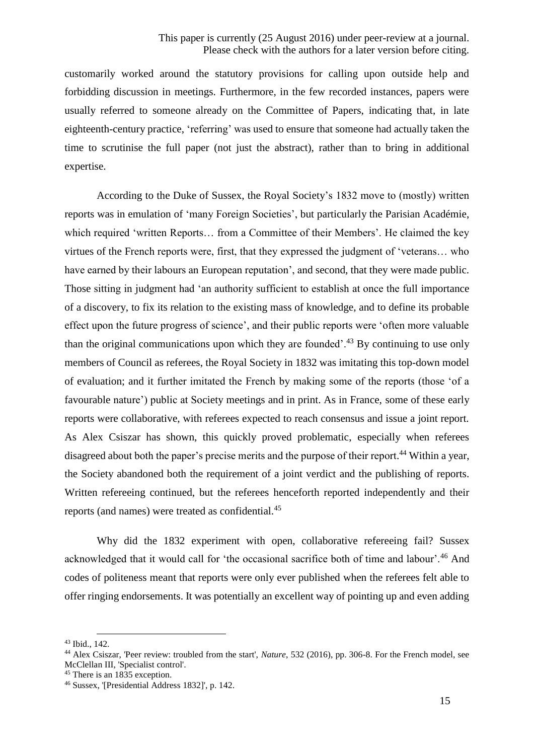customarily worked around the statutory provisions for calling upon outside help and forbidding discussion in meetings. Furthermore, in the few recorded instances, papers were usually referred to someone already on the Committee of Papers, indicating that, in late eighteenth-century practice, 'referring' was used to ensure that someone had actually taken the time to scrutinise the full paper (not just the abstract), rather than to bring in additional expertise.

According to the Duke of Sussex, the Royal Society's 1832 move to (mostly) written reports was in emulation of 'many Foreign Societies', but particularly the Parisian Académie, which required 'written Reports… from a Committee of their Members'. He claimed the key virtues of the French reports were, first, that they expressed the judgment of 'veterans… who have earned by their labours an European reputation', and second, that they were made public. Those sitting in judgment had 'an authority sufficient to establish at once the full importance of a discovery, to fix its relation to the existing mass of knowledge, and to define its probable effect upon the future progress of science', and their public reports were 'often more valuable than the original communications upon which they are founded'.<sup>43</sup> By continuing to use only members of Council as referees, the Royal Society in 1832 was imitating this top-down model of evaluation; and it further imitated the French by making some of the reports (those 'of a favourable nature') public at Society meetings and in print. As in France, some of these early reports were collaborative, with referees expected to reach consensus and issue a joint report. As Alex Csiszar has shown, this quickly proved problematic, especially when referees disagreed about both the paper's precise merits and the purpose of their report.<sup>44</sup> Within a year, the Society abandoned both the requirement of a joint verdict and the publishing of reports. Written refereeing continued, but the referees henceforth reported independently and their reports (and names) were treated as confidential.<sup>45</sup>

Why did the 1832 experiment with open, collaborative refereeing fail? Sussex acknowledged that it would call for 'the occasional sacrifice both of time and labour'.<sup>46</sup> And codes of politeness meant that reports were only ever published when the referees felt able to offer ringing endorsements. It was potentially an excellent way of pointing up and even adding

<sup>43</sup> Ibid., 142.

<sup>44</sup> Alex Csiszar, 'Peer review: troubled from the start', *Nature*, 532 (2016), pp. 306-8. For the French model, see McClellan III, 'Specialist control'.

<sup>&</sup>lt;sup>45</sup> There is an 1835 exception.

<sup>46</sup> Sussex, '[Presidential Address 1832]', p. 142.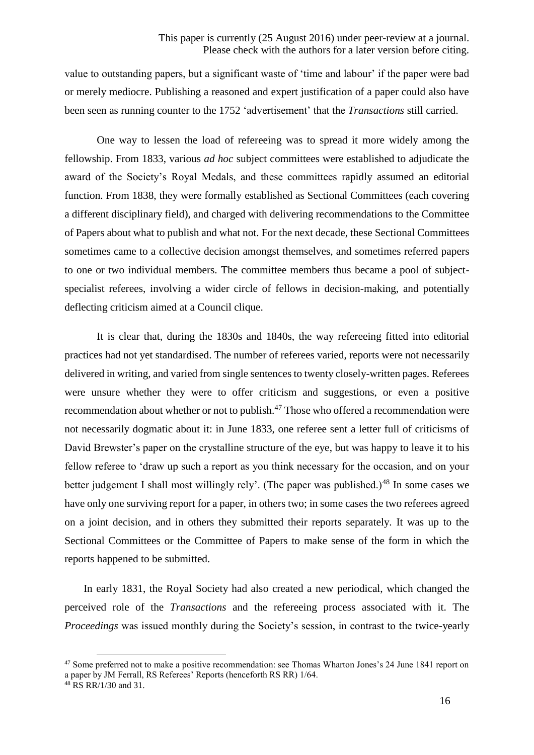value to outstanding papers, but a significant waste of 'time and labour' if the paper were bad or merely mediocre. Publishing a reasoned and expert justification of a paper could also have been seen as running counter to the 1752 'advertisement' that the *Transactions* still carried.

One way to lessen the load of refereeing was to spread it more widely among the fellowship. From 1833, various *ad hoc* subject committees were established to adjudicate the award of the Society's Royal Medals, and these committees rapidly assumed an editorial function. From 1838, they were formally established as Sectional Committees (each covering a different disciplinary field), and charged with delivering recommendations to the Committee of Papers about what to publish and what not. For the next decade, these Sectional Committees sometimes came to a collective decision amongst themselves, and sometimes referred papers to one or two individual members. The committee members thus became a pool of subjectspecialist referees, involving a wider circle of fellows in decision-making, and potentially deflecting criticism aimed at a Council clique.

It is clear that, during the 1830s and 1840s, the way refereeing fitted into editorial practices had not yet standardised. The number of referees varied, reports were not necessarily delivered in writing, and varied from single sentences to twenty closely-written pages. Referees were unsure whether they were to offer criticism and suggestions, or even a positive recommendation about whether or not to publish.<sup>47</sup> Those who offered a recommendation were not necessarily dogmatic about it: in June 1833, one referee sent a letter full of criticisms of David Brewster's paper on the crystalline structure of the eye, but was happy to leave it to his fellow referee to 'draw up such a report as you think necessary for the occasion, and on your better judgement I shall most willingly rely'. (The paper was published.)<sup>48</sup> In some cases we have only one surviving report for a paper, in others two; in some cases the two referees agreed on a joint decision, and in others they submitted their reports separately. It was up to the Sectional Committees or the Committee of Papers to make sense of the form in which the reports happened to be submitted.

In early 1831, the Royal Society had also created a new periodical, which changed the perceived role of the *Transactions* and the refereeing process associated with it. The *Proceedings* was issued monthly during the Society's session, in contrast to the twice-yearly

<sup>&</sup>lt;sup>47</sup> Some preferred not to make a positive recommendation: see Thomas Wharton Jones's 24 June 1841 report on a paper by JM Ferrall, RS Referees' Reports (henceforth RS RR) 1/64.

 $^{48}$  RS RR/1/30 and 31.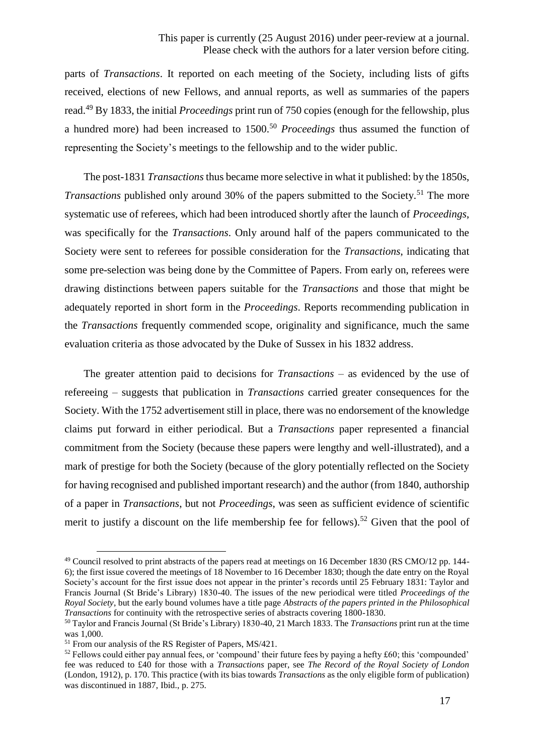parts of *Transactions*. It reported on each meeting of the Society, including lists of gifts received, elections of new Fellows, and annual reports, as well as summaries of the papers read.<sup>49</sup> By 1833, the initial *Proceedings* print run of 750 copies (enough for the fellowship, plus a hundred more) had been increased to 1500.<sup>50</sup> *Proceedings* thus assumed the function of representing the Society's meetings to the fellowship and to the wider public.

The post-1831 *Transactions* thus became more selective in what it published: by the 1850s, *Transactions* published only around 30% of the papers submitted to the Society.<sup>51</sup> The more systematic use of referees, which had been introduced shortly after the launch of *Proceedings*, was specifically for the *Transactions*. Only around half of the papers communicated to the Society were sent to referees for possible consideration for the *Transactions*, indicating that some pre-selection was being done by the Committee of Papers. From early on, referees were drawing distinctions between papers suitable for the *Transactions* and those that might be adequately reported in short form in the *Proceedings*. Reports recommending publication in the *Transactions* frequently commended scope, originality and significance, much the same evaluation criteria as those advocated by the Duke of Sussex in his 1832 address.

The greater attention paid to decisions for *Transactions* – as evidenced by the use of refereeing – suggests that publication in *Transactions* carried greater consequences for the Society. With the 1752 advertisement still in place, there was no endorsement of the knowledge claims put forward in either periodical. But a *Transactions* paper represented a financial commitment from the Society (because these papers were lengthy and well-illustrated), and a mark of prestige for both the Society (because of the glory potentially reflected on the Society for having recognised and published important research) and the author (from 1840, authorship of a paper in *Transactions*, but not *Proceedings*, was seen as sufficient evidence of scientific merit to justify a discount on the life membership fee for fellows).<sup>52</sup> Given that the pool of

<sup>49</sup> Council resolved to print abstracts of the papers read at meetings on 16 December 1830 (RS CMO/12 pp. 144- 6); the first issue covered the meetings of 18 November to 16 December 1830; though the date entry on the Royal Society's account for the first issue does not appear in the printer's records until 25 February 1831: Taylor and Francis Journal (St Bride's Library) 1830-40. The issues of the new periodical were titled *Proceedings of the Royal Society*, but the early bound volumes have a title page *Abstracts of the papers printed in the Philosophical Transactions* for continuity with the retrospective series of abstracts covering 1800-1830.

<sup>50</sup> Taylor and Francis Journal (St Bride's Library) 1830-40, 21 March 1833. The *Transactions* print run at the time was 1,000.

<sup>51</sup> From our analysis of the RS Register of Papers, MS/421.

 $52$  Fellows could either pay annual fees, or 'compound' their future fees by paying a hefty  $£60$ ; this 'compounded' fee was reduced to £40 for those with a *Transactions* paper, see *The Record of the Royal Society of London*  (London, 1912), p. 170. This practice (with its bias towards *Transactions* as the only eligible form of publication) was discontinued in 1887, Ibid., p. 275.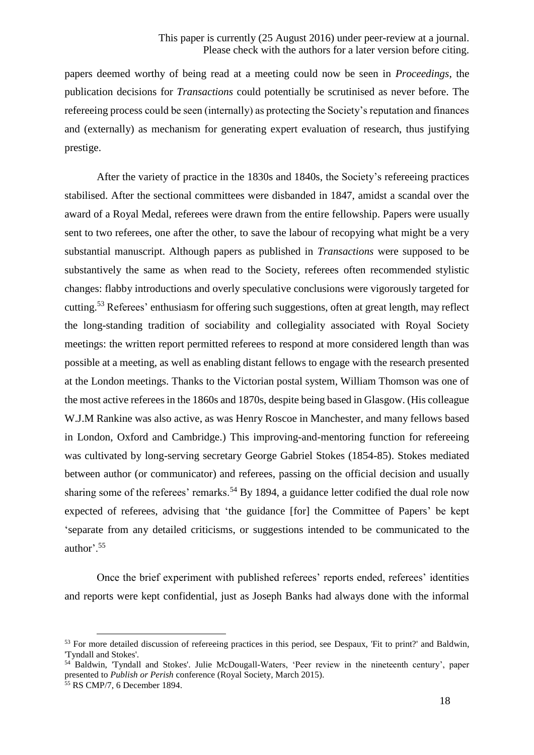papers deemed worthy of being read at a meeting could now be seen in *Proceedings*, the publication decisions for *Transactions* could potentially be scrutinised as never before. The refereeing process could be seen (internally) as protecting the Society's reputation and finances and (externally) as mechanism for generating expert evaluation of research, thus justifying prestige.

After the variety of practice in the 1830s and 1840s, the Society's refereeing practices stabilised. After the sectional committees were disbanded in 1847, amidst a scandal over the award of a Royal Medal, referees were drawn from the entire fellowship. Papers were usually sent to two referees, one after the other, to save the labour of recopying what might be a very substantial manuscript. Although papers as published in *Transactions* were supposed to be substantively the same as when read to the Society, referees often recommended stylistic changes: flabby introductions and overly speculative conclusions were vigorously targeted for cutting.<sup>53</sup> Referees' enthusiasm for offering such suggestions, often at great length, may reflect the long-standing tradition of sociability and collegiality associated with Royal Society meetings: the written report permitted referees to respond at more considered length than was possible at a meeting, as well as enabling distant fellows to engage with the research presented at the London meetings. Thanks to the Victorian postal system, William Thomson was one of the most active referees in the 1860s and 1870s, despite being based in Glasgow. (His colleague W.J.M Rankine was also active, as was Henry Roscoe in Manchester, and many fellows based in London, Oxford and Cambridge.) This improving-and-mentoring function for refereeing was cultivated by long-serving secretary George Gabriel Stokes (1854-85). Stokes mediated between author (or communicator) and referees, passing on the official decision and usually sharing some of the referees' remarks.<sup>54</sup> By 1894, a guidance letter codified the dual role now expected of referees, advising that 'the guidance [for] the Committee of Papers' be kept 'separate from any detailed criticisms, or suggestions intended to be communicated to the author'.<sup>55</sup>

Once the brief experiment with published referees' reports ended, referees' identities and reports were kept confidential, just as Joseph Banks had always done with the informal

<sup>&</sup>lt;sup>53</sup> For more detailed discussion of refereeing practices in this period, see Despaux, 'Fit to print?' and Baldwin, 'Tyndall and Stokes'.

<sup>54</sup> Baldwin, 'Tyndall and Stokes'. Julie McDougall-Waters, 'Peer review in the nineteenth century', paper presented to *Publish or Perish* conference (Royal Society, March 2015).

<sup>55</sup> RS CMP/7, 6 December 1894.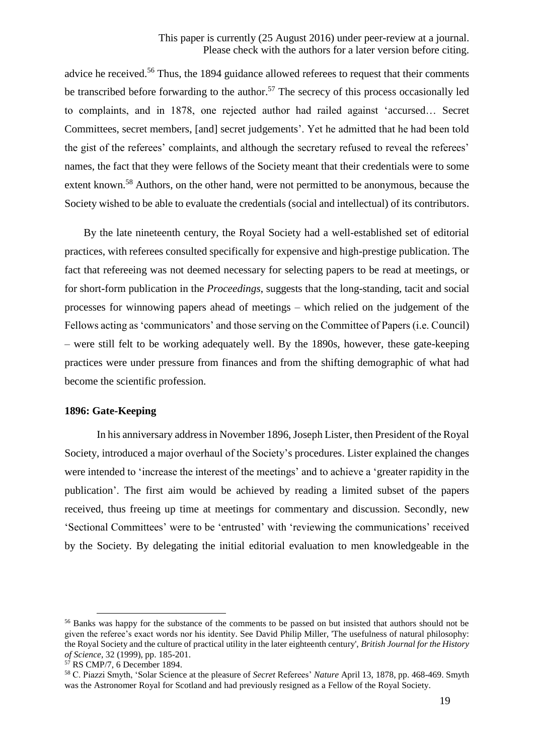advice he received.<sup>56</sup> Thus, the 1894 guidance allowed referees to request that their comments be transcribed before forwarding to the author.<sup>57</sup> The secrecy of this process occasionally led to complaints, and in 1878, one rejected author had railed against 'accursed… Secret Committees, secret members, [and] secret judgements'. Yet he admitted that he had been told the gist of the referees' complaints, and although the secretary refused to reveal the referees' names, the fact that they were fellows of the Society meant that their credentials were to some extent known.<sup>58</sup> Authors, on the other hand, were not permitted to be anonymous, because the Society wished to be able to evaluate the credentials (social and intellectual) of its contributors.

By the late nineteenth century, the Royal Society had a well-established set of editorial practices, with referees consulted specifically for expensive and high-prestige publication. The fact that refereeing was not deemed necessary for selecting papers to be read at meetings, or for short-form publication in the *Proceedings*, suggests that the long-standing, tacit and social processes for winnowing papers ahead of meetings – which relied on the judgement of the Fellows acting as 'communicators' and those serving on the Committee of Papers (i.e. Council) – were still felt to be working adequately well. By the 1890s, however, these gate-keeping practices were under pressure from finances and from the shifting demographic of what had become the scientific profession.

## **1896: Gate-Keeping**

In his anniversary address in November 1896, Joseph Lister, then President of the Royal Society, introduced a major overhaul of the Society's procedures. Lister explained the changes were intended to 'increase the interest of the meetings' and to achieve a 'greater rapidity in the publication'. The first aim would be achieved by reading a limited subset of the papers received, thus freeing up time at meetings for commentary and discussion. Secondly, new 'Sectional Committees' were to be 'entrusted' with 'reviewing the communications' received by the Society. By delegating the initial editorial evaluation to men knowledgeable in the

<sup>&</sup>lt;sup>56</sup> Banks was happy for the substance of the comments to be passed on but insisted that authors should not be given the referee's exact words nor his identity. See David Philip Miller, 'The usefulness of natural philosophy: the Royal Society and the culture of practical utility in the later eighteenth century', *British Journal for the History of Science*, 32 (1999), pp. 185-201.

<sup>57</sup> RS CMP/7, 6 December 1894.

<sup>58</sup> C. Piazzi Smyth, 'Solar Science at the pleasure of *Secret* Referees' *Nature* April 13, 1878, pp. 468-469. Smyth was the Astronomer Royal for Scotland and had previously resigned as a Fellow of the Royal Society.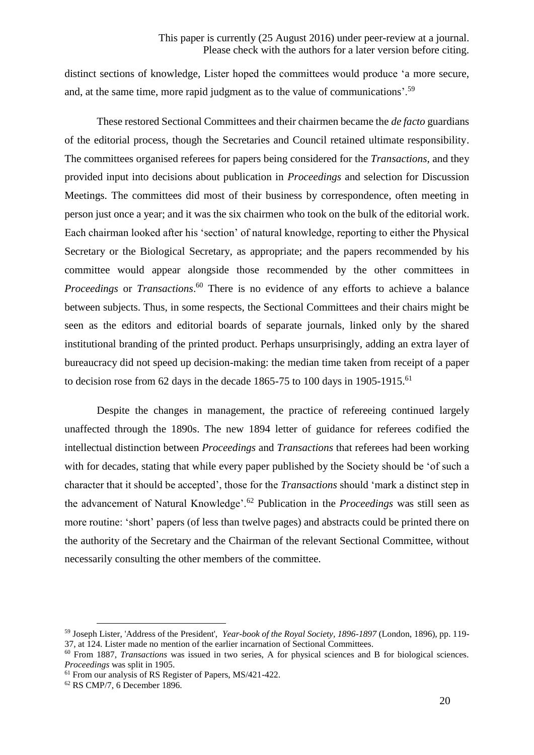distinct sections of knowledge, Lister hoped the committees would produce 'a more secure, and, at the same time, more rapid judgment as to the value of communications'.<sup>59</sup>

These restored Sectional Committees and their chairmen became the *de facto* guardians of the editorial process, though the Secretaries and Council retained ultimate responsibility. The committees organised referees for papers being considered for the *Transactions*, and they provided input into decisions about publication in *Proceedings* and selection for Discussion Meetings. The committees did most of their business by correspondence, often meeting in person just once a year; and it was the six chairmen who took on the bulk of the editorial work. Each chairman looked after his 'section' of natural knowledge, reporting to either the Physical Secretary or the Biological Secretary, as appropriate; and the papers recommended by his committee would appear alongside those recommended by the other committees in *Proceedings* or *Transactions*.<sup>60</sup> There is no evidence of any efforts to achieve a balance between subjects. Thus, in some respects, the Sectional Committees and their chairs might be seen as the editors and editorial boards of separate journals, linked only by the shared institutional branding of the printed product. Perhaps unsurprisingly, adding an extra layer of bureaucracy did not speed up decision-making: the median time taken from receipt of a paper to decision rose from 62 days in the decade 1865-75 to 100 days in 1905-1915.<sup>61</sup>

Despite the changes in management, the practice of refereeing continued largely unaffected through the 1890s. The new 1894 letter of guidance for referees codified the intellectual distinction between *Proceedings* and *Transactions* that referees had been working with for decades, stating that while every paper published by the Society should be 'of such a character that it should be accepted', those for the *Transactions* should 'mark a distinct step in the advancement of Natural Knowledge'.<sup>62</sup> Publication in the *Proceedings* was still seen as more routine: 'short' papers (of less than twelve pages) and abstracts could be printed there on the authority of the Secretary and the Chairman of the relevant Sectional Committee, without necessarily consulting the other members of the committee.

<sup>59</sup> Joseph Lister, 'Address of the President', *Year-book of the Royal Society, 1896-1897* (London, 1896), pp. 119- 37, at 124. Lister made no mention of the earlier incarnation of Sectional Committees.

<sup>60</sup> From 1887, *Transactions* was issued in two series, A for physical sciences and B for biological sciences. *Proceedings* was split in 1905.

<sup>61</sup> From our analysis of RS Register of Papers, MS/421-422.

<sup>62</sup> RS CMP/7, 6 December 1896.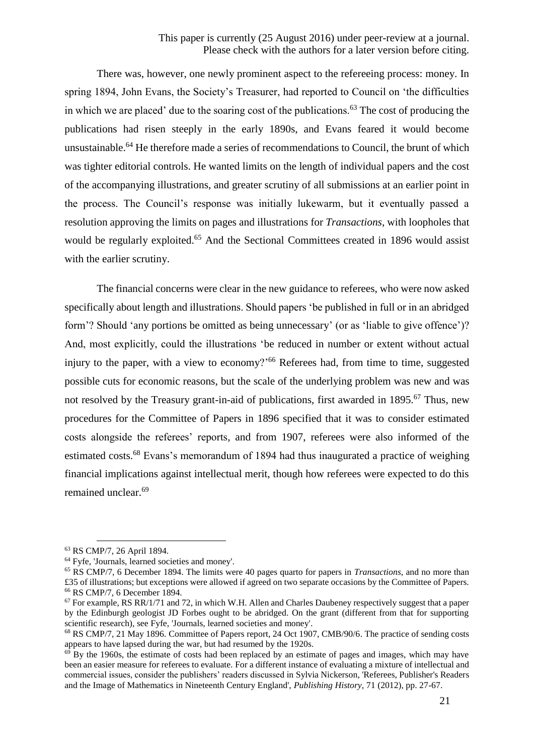There was, however, one newly prominent aspect to the refereeing process: money. In spring 1894, John Evans, the Society's Treasurer, had reported to Council on 'the difficulties in which we are placed' due to the soaring cost of the publications.<sup>63</sup> The cost of producing the publications had risen steeply in the early 1890s, and Evans feared it would become unsustainable.<sup>64</sup> He therefore made a series of recommendations to Council, the brunt of which was tighter editorial controls. He wanted limits on the length of individual papers and the cost of the accompanying illustrations, and greater scrutiny of all submissions at an earlier point in the process. The Council's response was initially lukewarm, but it eventually passed a resolution approving the limits on pages and illustrations for *Transactions*, with loopholes that would be regularly exploited.<sup>65</sup> And the Sectional Committees created in 1896 would assist with the earlier scrutiny.

The financial concerns were clear in the new guidance to referees, who were now asked specifically about length and illustrations. Should papers 'be published in full or in an abridged form'? Should 'any portions be omitted as being unnecessary' (or as 'liable to give offence')? And, most explicitly, could the illustrations 'be reduced in number or extent without actual injury to the paper, with a view to economy?<sup>'66</sup> Referees had, from time to time, suggested possible cuts for economic reasons, but the scale of the underlying problem was new and was not resolved by the Treasury grant-in-aid of publications, first awarded in 1895.<sup>67</sup> Thus, new procedures for the Committee of Papers in 1896 specified that it was to consider estimated costs alongside the referees' reports, and from 1907, referees were also informed of the estimated costs.<sup>68</sup> Evans's memorandum of 1894 had thus inaugurated a practice of weighing financial implications against intellectual merit, though how referees were expected to do this remained unclear.<sup>69</sup>

<sup>63</sup> RS CMP/7, 26 April 1894.

<sup>64</sup> Fyfe, 'Journals, learned societies and money'.

<sup>65</sup> RS CMP/7, 6 December 1894. The limits were 40 pages quarto for papers in *Transactions*, and no more than £35 of illustrations; but exceptions were allowed if agreed on two separate occasions by the Committee of Papers. <sup>66</sup> RS CMP/7, 6 December 1894.

 $67$  For example, RS RR/1/71 and 72, in which W.H. Allen and Charles Daubeney respectively suggest that a paper by the Edinburgh geologist JD Forbes ought to be abridged. On the grant (different from that for supporting scientific research), see Fyfe, 'Journals, learned societies and money'.

<sup>&</sup>lt;sup>68</sup> RS CMP/7, 21 May 1896. Committee of Papers report, 24 Oct 1907, CMB/90/6. The practice of sending costs appears to have lapsed during the war, but had resumed by the 1920s.

 $69$  By the 1960s, the estimate of costs had been replaced by an estimate of pages and images, which may have been an easier measure for referees to evaluate. For a different instance of evaluating a mixture of intellectual and commercial issues, consider the publishers' readers discussed in Sylvia Nickerson, 'Referees, Publisher's Readers and the Image of Mathematics in Nineteenth Century England', *Publishing History*, 71 (2012), pp. 27-67.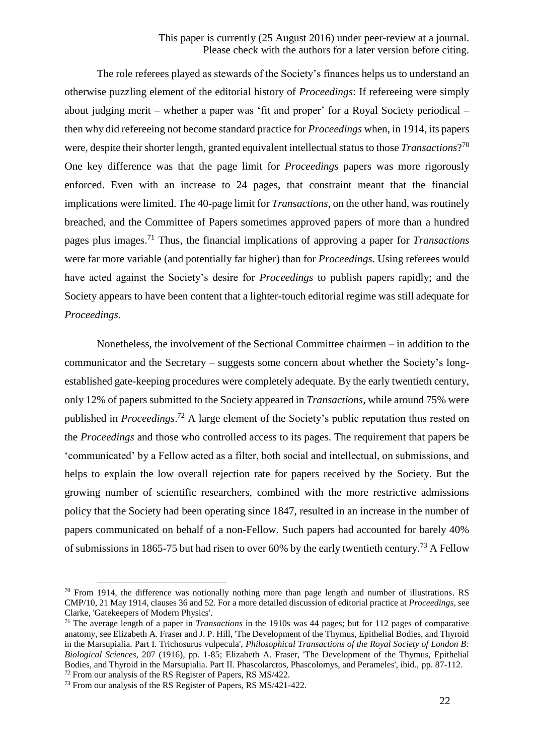The role referees played as stewards of the Society's finances helps us to understand an otherwise puzzling element of the editorial history of *Proceedings*: If refereeing were simply about judging merit – whether a paper was 'fit and proper' for a Royal Society periodical – then why did refereeing not become standard practice for *Proceedings* when, in 1914, its papers were, despite their shorter length, granted equivalent intellectual status to those *Transactions*? 70 One key difference was that the page limit for *Proceedings* papers was more rigorously enforced. Even with an increase to 24 pages, that constraint meant that the financial implications were limited. The 40-page limit for *Transactions*, on the other hand, was routinely breached, and the Committee of Papers sometimes approved papers of more than a hundred pages plus images.<sup>71</sup> Thus, the financial implications of approving a paper for *Transactions* were far more variable (and potentially far higher) than for *Proceedings*. Using referees would have acted against the Society's desire for *Proceedings* to publish papers rapidly; and the Society appears to have been content that a lighter-touch editorial regime was still adequate for *Proceedings*.

Nonetheless, the involvement of the Sectional Committee chairmen – in addition to the communicator and the Secretary – suggests some concern about whether the Society's longestablished gate-keeping procedures were completely adequate. By the early twentieth century, only 12% of papers submitted to the Society appeared in *Transactions*, while around 75% were published in *Proceedings*. <sup>72</sup> A large element of the Society's public reputation thus rested on the *Proceedings* and those who controlled access to its pages. The requirement that papers be 'communicated' by a Fellow acted as a filter, both social and intellectual, on submissions, and helps to explain the low overall rejection rate for papers received by the Society. But the growing number of scientific researchers, combined with the more restrictive admissions policy that the Society had been operating since 1847, resulted in an increase in the number of papers communicated on behalf of a non-Fellow. Such papers had accounted for barely 40% of submissions in 1865-75 but had risen to over 60% by the early twentieth century.<sup>73</sup> A Fellow

 $70$  From 1914, the difference was notionally nothing more than page length and number of illustrations. RS CMP/10, 21 May 1914, clauses 36 and 52. For a more detailed discussion of editorial practice at *Proceedings*, see Clarke, 'Gatekeepers of Modern Physics'.

<sup>71</sup> The average length of a paper in *Transactions* in the 1910s was 44 pages; but for 112 pages of comparative anatomy, see Elizabeth A. Fraser and J. P. Hill, 'The Development of the Thymus, Epithelial Bodies, and Thyroid in the Marsupialia. Part I. Trichosurus vulpecula', *Philosophical Transactions of the Royal Society of London B: Biological Sciences*, 207 (1916), pp. 1-85; Elizabeth A. Fraser, 'The Development of the Thymus, Epithelial Bodies, and Thyroid in the Marsupialia. Part II. Phascolarctos, Phascolomys, and Perameles', ibid., pp. 87-112. <sup>72</sup> From our analysis of the RS Register of Papers, RS MS/422.

<sup>73</sup> From our analysis of the RS Register of Papers, RS MS/421-422.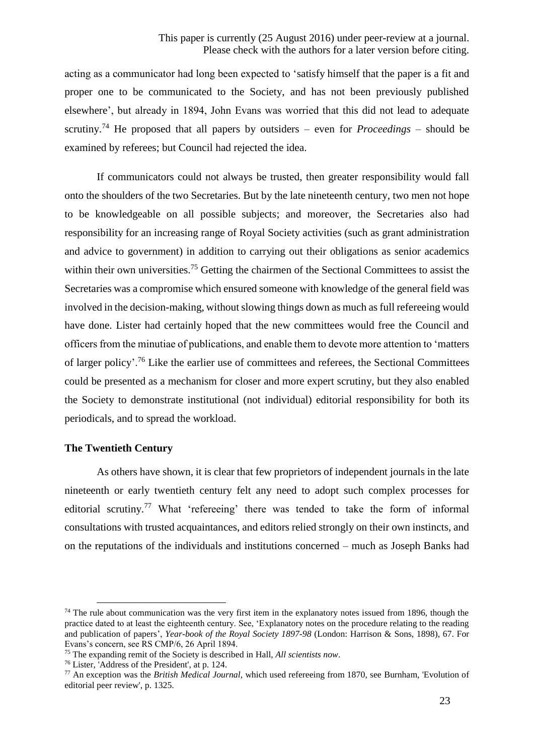## This paper is currently (25 August 2016) under peer-review at a journal. Please check with the authors for a later version before citing.

acting as a communicator had long been expected to 'satisfy himself that the paper is a fit and proper one to be communicated to the Society, and has not been previously published elsewhere', but already in 1894, John Evans was worried that this did not lead to adequate scrutiny. <sup>74</sup> He proposed that all papers by outsiders – even for *Proceedings* – should be examined by referees; but Council had rejected the idea.

If communicators could not always be trusted, then greater responsibility would fall onto the shoulders of the two Secretaries. But by the late nineteenth century, two men not hope to be knowledgeable on all possible subjects; and moreover, the Secretaries also had responsibility for an increasing range of Royal Society activities (such as grant administration and advice to government) in addition to carrying out their obligations as senior academics within their own universities.<sup>75</sup> Getting the chairmen of the Sectional Committees to assist the Secretaries was a compromise which ensured someone with knowledge of the general field was involved in the decision-making, without slowing things down as much as full refereeing would have done. Lister had certainly hoped that the new committees would free the Council and officers from the minutiae of publications, and enable them to devote more attention to 'matters of larger policy'.<sup>76</sup> Like the earlier use of committees and referees, the Sectional Committees could be presented as a mechanism for closer and more expert scrutiny, but they also enabled the Society to demonstrate institutional (not individual) editorial responsibility for both its periodicals, and to spread the workload.

#### **The Twentieth Century**

1

As others have shown, it is clear that few proprietors of independent journals in the late nineteenth or early twentieth century felt any need to adopt such complex processes for editorial scrutiny.<sup>77</sup> What 'refereeing' there was tended to take the form of informal consultations with trusted acquaintances, and editors relied strongly on their own instincts, and on the reputations of the individuals and institutions concerned – much as Joseph Banks had

 $74$  The rule about communication was the very first item in the explanatory notes issued from 1896, though the practice dated to at least the eighteenth century. See, 'Explanatory notes on the procedure relating to the reading and publication of papers', *Year-book of the Royal Society 1897-98* (London: Harrison & Sons, 1898), 67. For Evans's concern, see RS CMP/6, 26 April 1894.

<sup>75</sup> The expanding remit of the Society is described in Hall, *All scientists now*.

<sup>76</sup> Lister, 'Address of the President', at p. 124.

<sup>77</sup> An exception was the *British Medical Journal*, which used refereeing from 1870, see Burnham, 'Evolution of editorial peer review', p. 1325.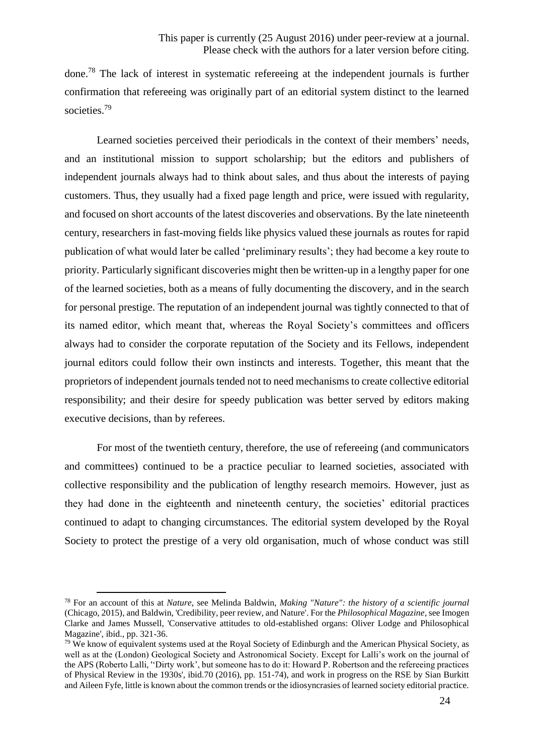done.<sup>78</sup> The lack of interest in systematic refereeing at the independent journals is further confirmation that refereeing was originally part of an editorial system distinct to the learned societies.<sup>79</sup>

Learned societies perceived their periodicals in the context of their members' needs, and an institutional mission to support scholarship; but the editors and publishers of independent journals always had to think about sales, and thus about the interests of paying customers. Thus, they usually had a fixed page length and price, were issued with regularity, and focused on short accounts of the latest discoveries and observations. By the late nineteenth century, researchers in fast-moving fields like physics valued these journals as routes for rapid publication of what would later be called 'preliminary results'; they had become a key route to priority. Particularly significant discoveries might then be written-up in a lengthy paper for one of the learned societies, both as a means of fully documenting the discovery, and in the search for personal prestige. The reputation of an independent journal was tightly connected to that of its named editor, which meant that, whereas the Royal Society's committees and officers always had to consider the corporate reputation of the Society and its Fellows, independent journal editors could follow their own instincts and interests. Together, this meant that the proprietors of independent journals tended not to need mechanisms to create collective editorial responsibility; and their desire for speedy publication was better served by editors making executive decisions, than by referees.

For most of the twentieth century, therefore, the use of refereeing (and communicators and committees) continued to be a practice peculiar to learned societies, associated with collective responsibility and the publication of lengthy research memoirs. However, just as they had done in the eighteenth and nineteenth century, the societies' editorial practices continued to adapt to changing circumstances. The editorial system developed by the Royal Society to protect the prestige of a very old organisation, much of whose conduct was still

<sup>78</sup> For an account of this at *Nature*, see Melinda Baldwin, *Making "Nature": the history of a scientific journal*  (Chicago, 2015), and Baldwin, 'Credibility, peer review, and Nature'. For the *Philosophical Magazine*, see Imogen Clarke and James Mussell, 'Conservative attitudes to old-established organs: Oliver Lodge and Philosophical Magazine', ibid., pp. 321-36.

<sup>79</sup> We know of equivalent systems used at the Royal Society of Edinburgh and the American Physical Society, as well as at the (London) Geological Society and Astronomical Society. Except for Lalli's work on the journal of the APS (Roberto Lalli, ''Dirty work', but someone has to do it: Howard P. Robertson and the refereeing practices of Physical Review in the 1930s', ibid.70 (2016), pp. 151-74), and work in progress on the RSE by Sian Burkitt and Aileen Fyfe, little is known about the common trends or the idiosyncrasies of learned society editorial practice.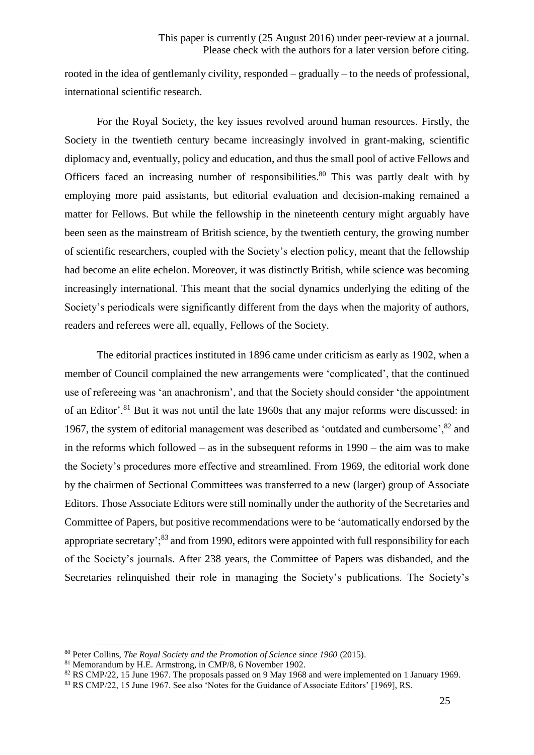rooted in the idea of gentlemanly civility, responded – gradually – to the needs of professional, international scientific research.

For the Royal Society, the key issues revolved around human resources. Firstly, the Society in the twentieth century became increasingly involved in grant-making, scientific diplomacy and, eventually, policy and education, and thus the small pool of active Fellows and Officers faced an increasing number of responsibilities.<sup>80</sup> This was partly dealt with by employing more paid assistants, but editorial evaluation and decision-making remained a matter for Fellows. But while the fellowship in the nineteenth century might arguably have been seen as the mainstream of British science, by the twentieth century, the growing number of scientific researchers, coupled with the Society's election policy, meant that the fellowship had become an elite echelon. Moreover, it was distinctly British, while science was becoming increasingly international. This meant that the social dynamics underlying the editing of the Society's periodicals were significantly different from the days when the majority of authors, readers and referees were all, equally, Fellows of the Society.

The editorial practices instituted in 1896 came under criticism as early as 1902, when a member of Council complained the new arrangements were 'complicated', that the continued use of refereeing was 'an anachronism', and that the Society should consider 'the appointment of an Editor'.<sup>81</sup> But it was not until the late 1960s that any major reforms were discussed: in 1967, the system of editorial management was described as 'outdated and cumbersome',<sup>82</sup> and in the reforms which followed – as in the subsequent reforms in 1990 – the aim was to make the Society's procedures more effective and streamlined. From 1969, the editorial work done by the chairmen of Sectional Committees was transferred to a new (larger) group of Associate Editors. Those Associate Editors were still nominally under the authority of the Secretaries and Committee of Papers, but positive recommendations were to be 'automatically endorsed by the appropriate secretary';<sup>83</sup> and from 1990, editors were appointed with full responsibility for each of the Society's journals. After 238 years, the Committee of Papers was disbanded, and the Secretaries relinquished their role in managing the Society's publications. The Society's

<sup>80</sup> Peter Collins, *The Royal Society and the Promotion of Science since 1960* (2015).

<sup>81</sup> Memorandum by H.E. Armstrong, in CMP/8, 6 November 1902.

<sup>&</sup>lt;sup>82</sup> RS CMP/22, 15 June 1967. The proposals passed on 9 May 1968 and were implemented on 1 January 1969.

<sup>83</sup> RS CMP/22, 15 June 1967. See also 'Notes for the Guidance of Associate Editors' [1969], RS.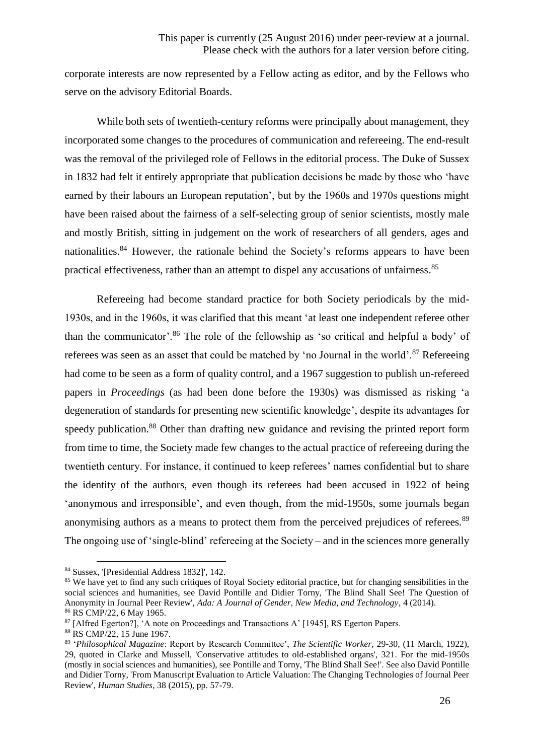corporate interests are now represented by a Fellow acting as editor, and by the Fellows who serve on the advisory Editorial Boards.

While both sets of twentieth-century reforms were principally about management, they incorporated some changes to the procedures of communication and refereeing. The end-result was the removal of the privileged role of Fellows in the editorial process. The Duke of Sussex in 1832 had felt it entirely appropriate that publication decisions be made by those who 'have earned by their labours an European reputation', but by the 1960s and 1970s questions might have been raised about the fairness of a self-selecting group of senior scientists, mostly male and mostly British, sitting in judgement on the work of researchers of all genders, ages and nationalities.<sup>84</sup> However, the rationale behind the Society's reforms appears to have been practical effectiveness, rather than an attempt to dispel any accusations of unfairness.<sup>85</sup>

Refereeing had become standard practice for both Society periodicals by the mid-1930s, and in the 1960s, it was clarified that this meant 'at least one independent referee other than the communicator'.<sup>86</sup> The role of the fellowship as 'so critical and helpful a body' of referees was seen as an asset that could be matched by 'no Journal in the world'.<sup>87</sup> Refereeing had come to be seen as a form of quality control, and a 1967 suggestion to publish un-refereed papers in *Proceedings* (as had been done before the 1930s) was dismissed as risking 'a degeneration of standards for presenting new scientific knowledge', despite its advantages for speedy publication.<sup>88</sup> Other than drafting new guidance and revising the printed report form from time to time, the Society made few changes to the actual practice of refereeing during the twentieth century. For instance, it continued to keep referees' names confidential but to share the identity of the authors, even though its referees had been accused in 1922 of being 'anonymous and irresponsible', and even though, from the mid-1950s, some journals began anonymising authors as a means to protect them from the perceived prejudices of referees.<sup>89</sup> The ongoing use of 'single-blind' refereeing at the Society – and in the sciences more generally

<sup>84</sup> Sussex, '[Presidential Address 1832]', 142.

<sup>&</sup>lt;sup>85</sup> We have yet to find any such critiques of Royal Society editorial practice, but for changing sensibilities in the social sciences and humanities, see David Pontille and Didier Torny, 'The Blind Shall See! The Question of Anonymity in Journal Peer Review', *Ada: A Journal of Gender, New Media, and Technology*, 4 (2014). <sup>86</sup> RS CMP/22, 6 May 1965.

<sup>&</sup>lt;sup>87</sup> [Alfred Egerton?], <sup>'</sup>A note on Proceedings and Transactions A' [1945], RS Egerton Papers.

<sup>88</sup> RS CMP/22, 15 June 1967.

<sup>89</sup> '*Philosophical Magazine*: Report by Research Committee', *The Scientific Worker*, 29-30, (11 March, 1922), 29, quoted in Clarke and Mussell, 'Conservative attitudes to old-established organs', 321. For the mid-1950s (mostly in social sciences and humanities), see Pontille and Torny, 'The Blind Shall See!'. See also David Pontille and Didier Torny, 'From Manuscript Evaluation to Article Valuation: The Changing Technologies of Journal Peer Review', *Human Studies*, 38 (2015), pp. 57-79.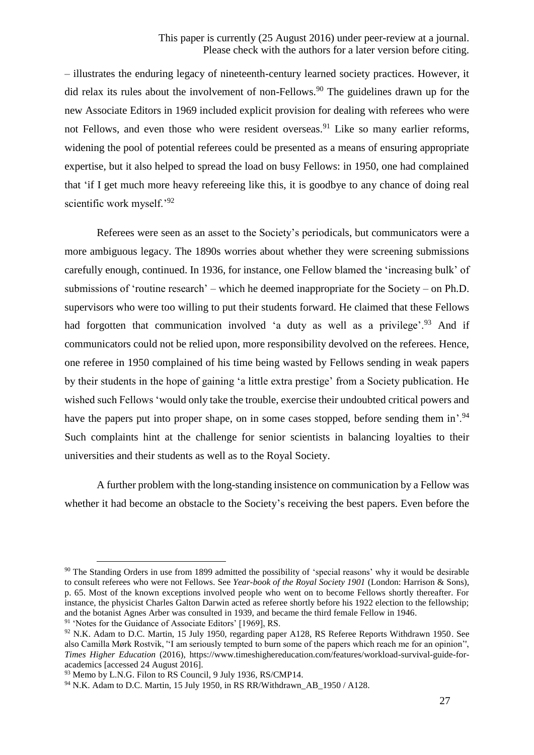– illustrates the enduring legacy of nineteenth-century learned society practices. However, it did relax its rules about the involvement of non-Fellows.<sup>90</sup> The guidelines drawn up for the new Associate Editors in 1969 included explicit provision for dealing with referees who were not Fellows, and even those who were resident overseas.<sup>91</sup> Like so many earlier reforms, widening the pool of potential referees could be presented as a means of ensuring appropriate expertise, but it also helped to spread the load on busy Fellows: in 1950, one had complained that 'if I get much more heavy refereeing like this, it is goodbye to any chance of doing real scientific work myself.'92

Referees were seen as an asset to the Society's periodicals, but communicators were a more ambiguous legacy. The 1890s worries about whether they were screening submissions carefully enough, continued. In 1936, for instance, one Fellow blamed the 'increasing bulk' of submissions of 'routine research' – which he deemed inappropriate for the Society – on Ph.D. supervisors who were too willing to put their students forward. He claimed that these Fellows had forgotten that communication involved 'a duty as well as a privilege'.<sup>93</sup> And if communicators could not be relied upon, more responsibility devolved on the referees. Hence, one referee in 1950 complained of his time being wasted by Fellows sending in weak papers by their students in the hope of gaining 'a little extra prestige' from a Society publication. He wished such Fellows 'would only take the trouble, exercise their undoubted critical powers and have the papers put into proper shape, on in some cases stopped, before sending them in'.<sup>94</sup> Such complaints hint at the challenge for senior scientists in balancing loyalties to their universities and their students as well as to the Royal Society.

A further problem with the long-standing insistence on communication by a Fellow was whether it had become an obstacle to the Society's receiving the best papers. Even before the

<sup>&</sup>lt;sup>90</sup> The Standing Orders in use from 1899 admitted the possibility of 'special reasons' why it would be desirable to consult referees who were not Fellows. See *Year-book of the Royal Society 1901* (London: Harrison & Sons), p. 65. Most of the known exceptions involved people who went on to become Fellows shortly thereafter. For instance, the physicist Charles Galton Darwin acted as referee shortly before his 1922 election to the fellowship; and the botanist Agnes Arber was consulted in 1939, and became the third female Fellow in 1946.

<sup>&</sup>lt;sup>91</sup> 'Notes for the Guidance of Associate Editors' [1969], RS.

<sup>&</sup>lt;sup>92</sup> N.K. Adam to D.C. Martin, 15 July 1950, regarding paper A128, RS Referee Reports Withdrawn 1950. See also Camilla Mørk Rostvik, ''I am seriously tempted to burn some of the papers which reach me for an opinion'', *Times Higher Education* (2016), https://www.timeshighereducation.com/features/workload-survival-guide-foracademics [accessed 24 August 2016].

<sup>&</sup>lt;sup>93</sup> Memo by L.N.G. Filon to RS Council, 9 July 1936, RS/CMP14.

<sup>&</sup>lt;sup>94</sup> N.K. Adam to D.C. Martin, 15 July 1950, in RS RR/Withdrawn AB 1950 / A128.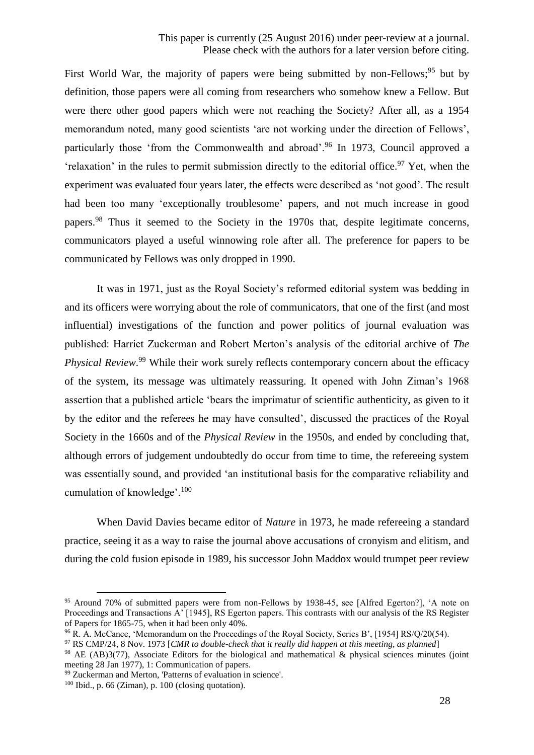First World War, the majority of papers were being submitted by non-Fellows;  $95$  but by definition, those papers were all coming from researchers who somehow knew a Fellow. But were there other good papers which were not reaching the Society? After all, as a 1954 memorandum noted, many good scientists 'are not working under the direction of Fellows', particularly those 'from the Commonwealth and abroad'.<sup>96</sup> In 1973, Council approved a 'relaxation' in the rules to permit submission directly to the editorial office.<sup>97</sup> Yet, when the experiment was evaluated four years later, the effects were described as 'not good'. The result had been too many 'exceptionally troublesome' papers, and not much increase in good papers.<sup>98</sup> Thus it seemed to the Society in the 1970s that, despite legitimate concerns, communicators played a useful winnowing role after all. The preference for papers to be communicated by Fellows was only dropped in 1990.

It was in 1971, just as the Royal Society's reformed editorial system was bedding in and its officers were worrying about the role of communicators, that one of the first (and most influential) investigations of the function and power politics of journal evaluation was published: Harriet Zuckerman and Robert Merton's analysis of the editorial archive of *The*  Physical Review.<sup>99</sup> While their work surely reflects contemporary concern about the efficacy of the system, its message was ultimately reassuring. It opened with John Ziman's 1968 assertion that a published article 'bears the imprimatur of scientific authenticity, as given to it by the editor and the referees he may have consulted', discussed the practices of the Royal Society in the 1660s and of the *Physical Review* in the 1950s, and ended by concluding that, although errors of judgement undoubtedly do occur from time to time, the refereeing system was essentially sound, and provided 'an institutional basis for the comparative reliability and cumulation of knowledge'.<sup>100</sup>

When David Davies became editor of *Nature* in 1973, he made refereeing a standard practice, seeing it as a way to raise the journal above accusations of cronyism and elitism, and during the cold fusion episode in 1989, his successor John Maddox would trumpet peer review

<sup>95</sup> Around 70% of submitted papers were from non-Fellows by 1938-45, see [Alfred Egerton?], 'A note on Proceedings and Transactions A' [1945], RS Egerton papers. This contrasts with our analysis of the RS Register of Papers for 1865-75, when it had been only 40%.

<sup>&</sup>lt;sup>96</sup> R. A. McCance, 'Memorandum on the Proceedings of the Royal Society, Series B', [1954] RS/O/20(54).

<sup>97</sup> RS CMP/24, 8 Nov. 1973 [*CMR to double-check that it really did happen at this meeting, as planned*]

<sup>98</sup> AE (AB)3(77), Associate Editors for the biological and mathematical & physical sciences minutes (joint meeting 28 Jan 1977), 1: Communication of papers.

<sup>99</sup> Zuckerman and Merton, 'Patterns of evaluation in science'.

 $100$  Ibid., p. 66 (Ziman), p. 100 (closing quotation).